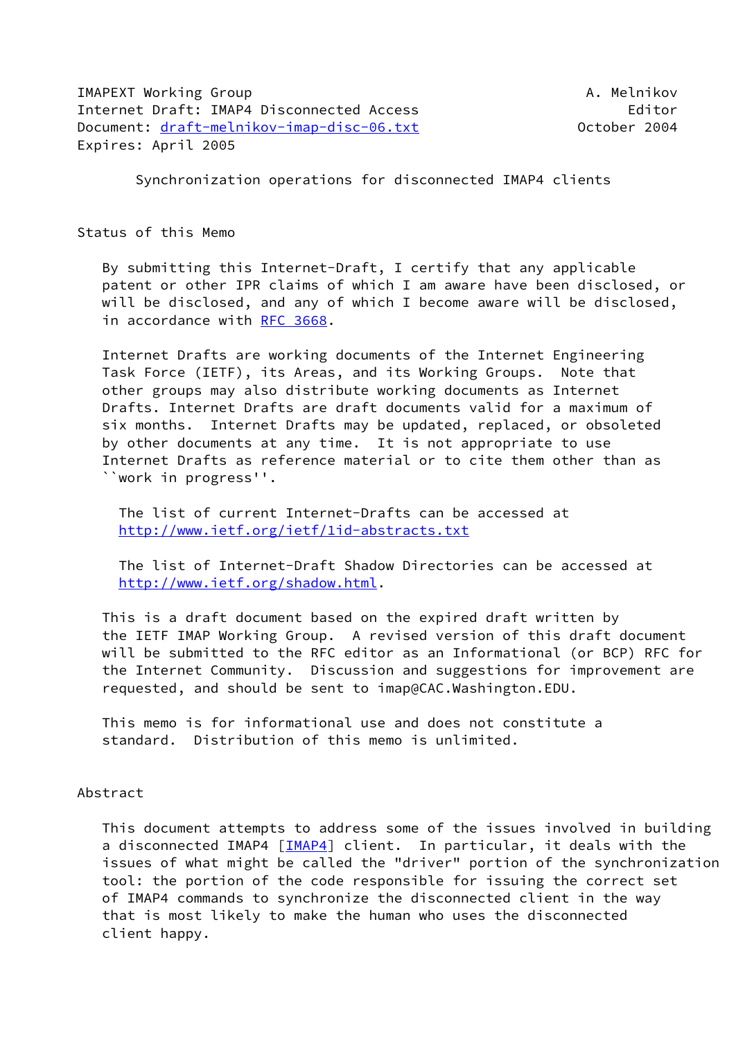IMAPEXT Working Group **A. Melnikov** A. Melnikov Internet Draft: IMAP4 Disconnected Access entitled and the Editor Document: [draft-melnikov-imap-disc-06.txt](https://datatracker.ietf.org/doc/pdf/draft-melnikov-imap-disc-06.txt) October 2004 Expires: April 2005

Synchronization operations for disconnected IMAP4 clients

Status of this Memo

 By submitting this Internet-Draft, I certify that any applicable patent or other IPR claims of which I am aware have been disclosed, or will be disclosed, and any of which I become aware will be disclosed, in accordance with [RFC 3668.](https://datatracker.ietf.org/doc/pdf/rfc3668)

 Internet Drafts are working documents of the Internet Engineering Task Force (IETF), its Areas, and its Working Groups. Note that other groups may also distribute working documents as Internet Drafts. Internet Drafts are draft documents valid for a maximum of six months. Internet Drafts may be updated, replaced, or obsoleted by other documents at any time. It is not appropriate to use Internet Drafts as reference material or to cite them other than as ``work in progress''.

 The list of current Internet-Drafts can be accessed at <http://www.ietf.org/ietf/1id-abstracts.txt>

 The list of Internet-Draft Shadow Directories can be accessed at <http://www.ietf.org/shadow.html>.

 This is a draft document based on the expired draft written by the IETF IMAP Working Group. A revised version of this draft document will be submitted to the RFC editor as an Informational (or BCP) RFC for the Internet Community. Discussion and suggestions for improvement are requested, and should be sent to imap@CAC.Washington.EDU.

 This memo is for informational use and does not constitute a standard. Distribution of this memo is unlimited.

# Abstract

 This document attempts to address some of the issues involved in building a disconnected IMAP4 [\[IMAP4\]](#page-27-0) client. In particular, it deals with the issues of what might be called the "driver" portion of the synchronization tool: the portion of the code responsible for issuing the correct set of IMAP4 commands to synchronize the disconnected client in the way that is most likely to make the human who uses the disconnected client happy.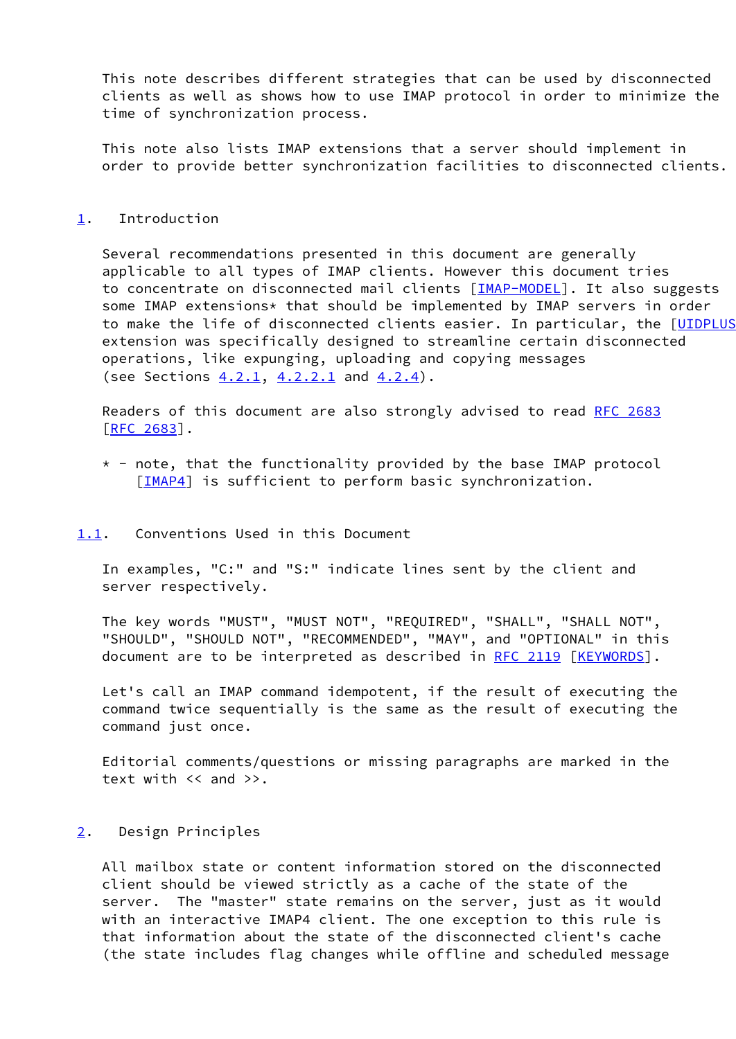This note describes different strategies that can be used by disconnected clients as well as shows how to use IMAP protocol in order to minimize the time of synchronization process.

 This note also lists IMAP extensions that a server should implement in order to provide better synchronization facilities to disconnected clients.

### <span id="page-1-0"></span>[1](#page-1-0). Introduction

 Several recommendations presented in this document are generally applicable to all types of IMAP clients. However this document tries to concentrate on disconnected mail clients [\[IMAP-MODEL\]](#page-28-0). It also suggests some IMAP extensions\* that should be implemented by IMAP servers in order to make the life of disconnected clients easier. In particular, the [\[UIDPLUS](#page-27-1) extension was specifically designed to streamline certain disconnected operations, like expunging, uploading and copying messages (see Sections [4.2.1,](#page-5-0) [4.2.2.1](#page-7-0) and [4.2.4](#page-12-0)).

 Readers of this document are also strongly advised to read [RFC 2683](https://datatracker.ietf.org/doc/pdf/rfc2683) [\[RFC 2683](https://datatracker.ietf.org/doc/pdf/rfc2683)].

 $*$  - note, that the functionality provided by the base IMAP protocol [\[IMAP4](#page-27-0)] is sufficient to perform basic synchronization.

## <span id="page-1-1"></span>[1.1](#page-1-1). Conventions Used in this Document

 In examples, "C:" and "S:" indicate lines sent by the client and server respectively.

 The key words "MUST", "MUST NOT", "REQUIRED", "SHALL", "SHALL NOT", "SHOULD", "SHOULD NOT", "RECOMMENDED", "MAY", and "OPTIONAL" in this document are to be interpreted as described in [RFC 2119](https://datatracker.ietf.org/doc/pdf/rfc2119) [\[KEYWORDS](#page-27-2)].

 Let's call an IMAP command idempotent, if the result of executing the command twice sequentially is the same as the result of executing the command just once.

 Editorial comments/questions or missing paragraphs are marked in the text with << and >>.

# <span id="page-1-2"></span>[2](#page-1-2). Design Principles

 All mailbox state or content information stored on the disconnected client should be viewed strictly as a cache of the state of the server. The "master" state remains on the server, just as it would with an interactive IMAP4 client. The one exception to this rule is that information about the state of the disconnected client's cache (the state includes flag changes while offline and scheduled message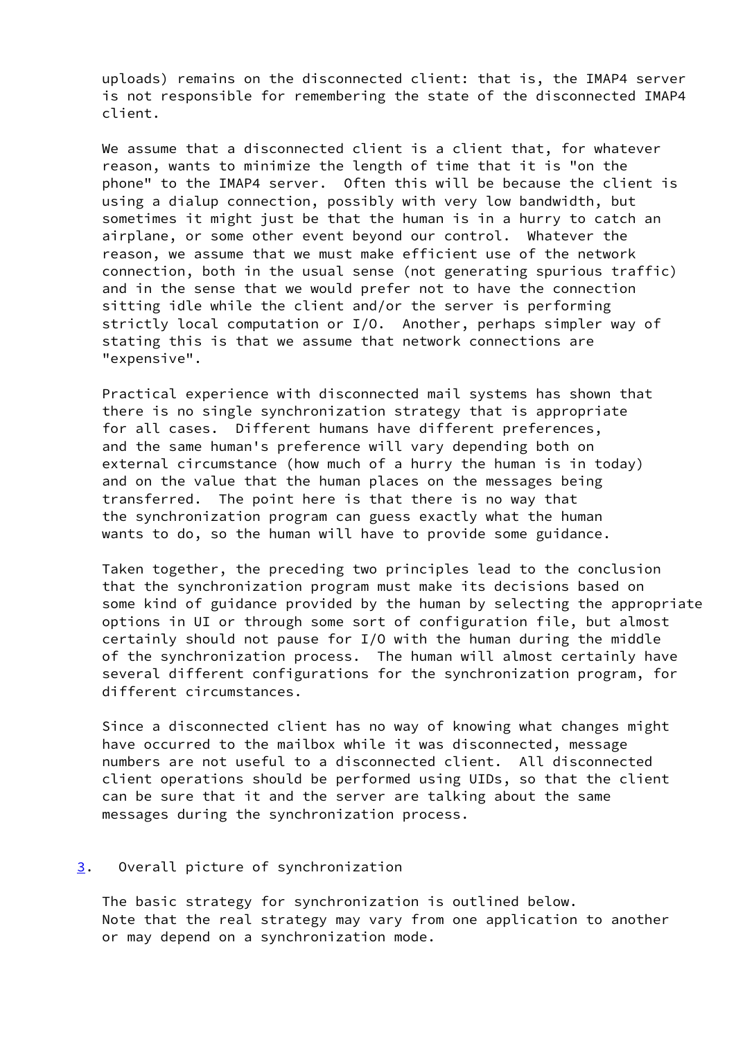uploads) remains on the disconnected client: that is, the IMAP4 server is not responsible for remembering the state of the disconnected IMAP4 client.

We assume that a disconnected client is a client that, for whatever reason, wants to minimize the length of time that it is "on the phone" to the IMAP4 server. Often this will be because the client is using a dialup connection, possibly with very low bandwidth, but sometimes it might just be that the human is in a hurry to catch an airplane, or some other event beyond our control. Whatever the reason, we assume that we must make efficient use of the network connection, both in the usual sense (not generating spurious traffic) and in the sense that we would prefer not to have the connection sitting idle while the client and/or the server is performing strictly local computation or I/O. Another, perhaps simpler way of stating this is that we assume that network connections are "expensive".

 Practical experience with disconnected mail systems has shown that there is no single synchronization strategy that is appropriate for all cases. Different humans have different preferences, and the same human's preference will vary depending both on external circumstance (how much of a hurry the human is in today) and on the value that the human places on the messages being transferred. The point here is that there is no way that the synchronization program can guess exactly what the human wants to do, so the human will have to provide some guidance.

 Taken together, the preceding two principles lead to the conclusion that the synchronization program must make its decisions based on some kind of guidance provided by the human by selecting the appropriate options in UI or through some sort of configuration file, but almost certainly should not pause for I/O with the human during the middle of the synchronization process. The human will almost certainly have several different configurations for the synchronization program, for different circumstances.

 Since a disconnected client has no way of knowing what changes might have occurred to the mailbox while it was disconnected, message numbers are not useful to a disconnected client. All disconnected client operations should be performed using UIDs, so that the client can be sure that it and the server are talking about the same messages during the synchronization process.

# <span id="page-2-0"></span>[3](#page-2-0). Overall picture of synchronization

 The basic strategy for synchronization is outlined below. Note that the real strategy may vary from one application to another or may depend on a synchronization mode.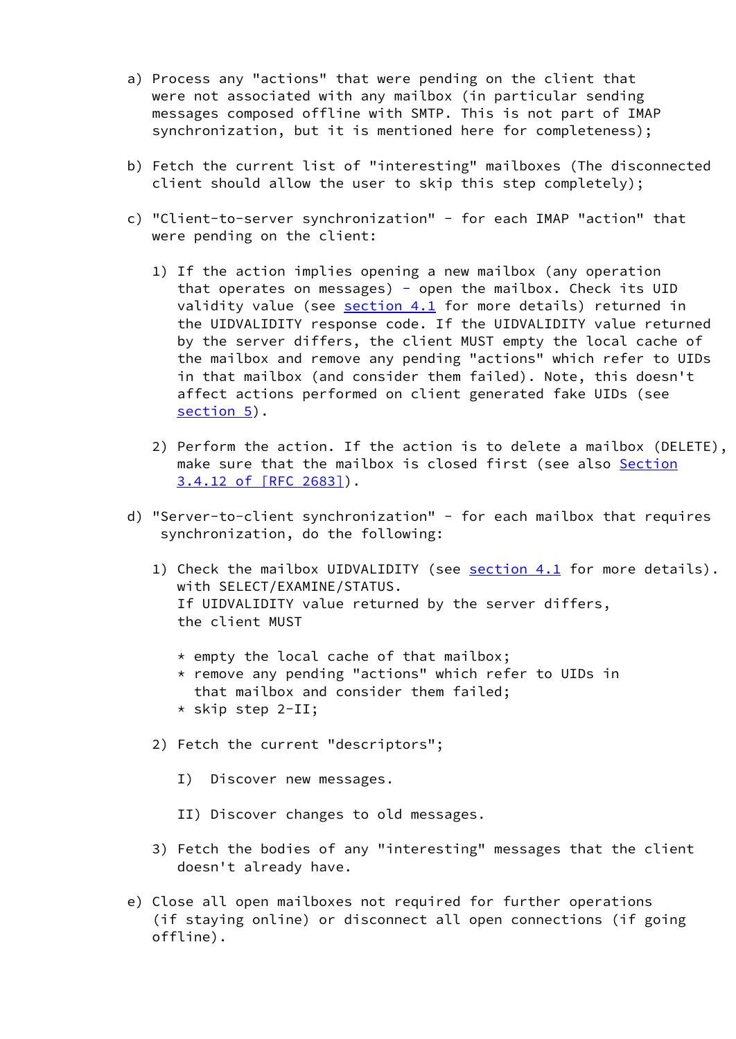- a) Process any "actions" that were pending on the client that were not associated with any mailbox (in particular sending messages composed offline with SMTP. This is not part of IMAP synchronization, but it is mentioned here for completeness);
- b) Fetch the current list of "interesting" mailboxes (The disconnected client should allow the user to skip this step completely);
- c) "Client-to-server synchronization" for each IMAP "action" that were pending on the client:
	- 1) If the action implies opening a new mailbox (any operation that operates on messages) - open the mailbox. Check its UID validity value (see [section 4.1](#page-5-1) for more details) returned in the UIDVALIDITY response code. If the UIDVALIDITY value returned by the server differs, the client MUST empty the local cache of the mailbox and remove any pending "actions" which refer to UIDs in that mailbox (and consider them failed). Note, this doesn't affect actions performed on client generated fake UIDs (see [section 5](#page-19-0)).
	- 2) Perform the action. If the action is to delete a mailbox (DELETE), make sure that the mailbox is closed first (see also [Section](https://datatracker.ietf.org/doc/pdf/rfc2683#section-3.4.12) [3.4.12 of \[RFC 2683\]](https://datatracker.ietf.org/doc/pdf/rfc2683#section-3.4.12)).
- d) "Server-to-client synchronization" for each mailbox that requires synchronization, do the following:
	- 1) Check the mailbox UIDVALIDITY (see [section 4.1](#page-5-1) for more details). with SELECT/EXAMINE/STATUS. If UIDVALIDITY value returned by the server differs, the client MUST
		- $*$  empty the local cache of that mailbox;
		- \* remove any pending "actions" which refer to UIDs in that mailbox and consider them failed;
		- \* skip step 2-II;
	- 2) Fetch the current "descriptors";
		- I) Discover new messages.
		- II) Discover changes to old messages.
	- 3) Fetch the bodies of any "interesting" messages that the client doesn't already have.
- e) Close all open mailboxes not required for further operations (if staying online) or disconnect all open connections (if going offline).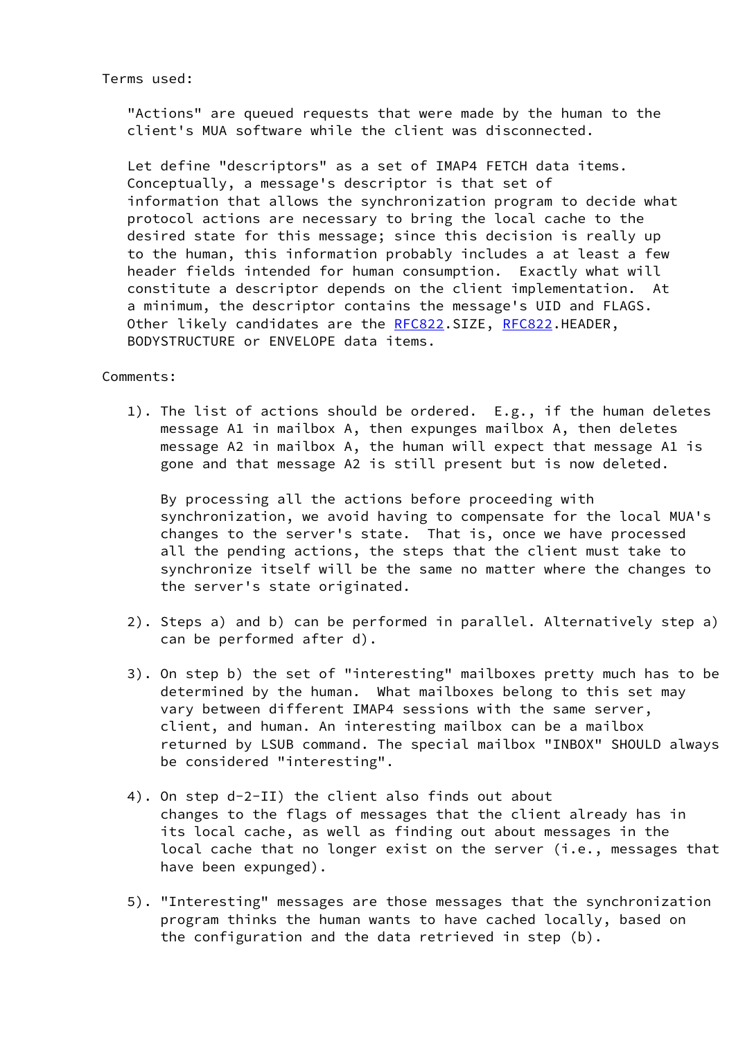# Terms used:

 "Actions" are queued requests that were made by the human to the client's MUA software while the client was disconnected.

 Let define "descriptors" as a set of IMAP4 FETCH data items. Conceptually, a message's descriptor is that set of information that allows the synchronization program to decide what protocol actions are necessary to bring the local cache to the desired state for this message; since this decision is really up to the human, this information probably includes a at least a few header fields intended for human consumption. Exactly what will constitute a descriptor depends on the client implementation. At a minimum, the descriptor contains the message's UID and FLAGS. Other likely candidates are the [RFC822](https://datatracker.ietf.org/doc/pdf/rfc822).SIZE, [RFC822](https://datatracker.ietf.org/doc/pdf/rfc822).HEADER, BODYSTRUCTURE or ENVELOPE data items.

## Comments:

 1). The list of actions should be ordered. E.g., if the human deletes message A1 in mailbox A, then expunges mailbox A, then deletes message A2 in mailbox A, the human will expect that message A1 is gone and that message A2 is still present but is now deleted.

 By processing all the actions before proceeding with synchronization, we avoid having to compensate for the local MUA's changes to the server's state. That is, once we have processed all the pending actions, the steps that the client must take to synchronize itself will be the same no matter where the changes to the server's state originated.

- 2). Steps a) and b) can be performed in parallel. Alternatively step a) can be performed after d).
- 3). On step b) the set of "interesting" mailboxes pretty much has to be determined by the human. What mailboxes belong to this set may vary between different IMAP4 sessions with the same server, client, and human. An interesting mailbox can be a mailbox returned by LSUB command. The special mailbox "INBOX" SHOULD always be considered "interesting".
- 4). On step d-2-II) the client also finds out about changes to the flags of messages that the client already has in its local cache, as well as finding out about messages in the local cache that no longer exist on the server (i.e., messages that have been expunged).
- 5). "Interesting" messages are those messages that the synchronization program thinks the human wants to have cached locally, based on the configuration and the data retrieved in step (b).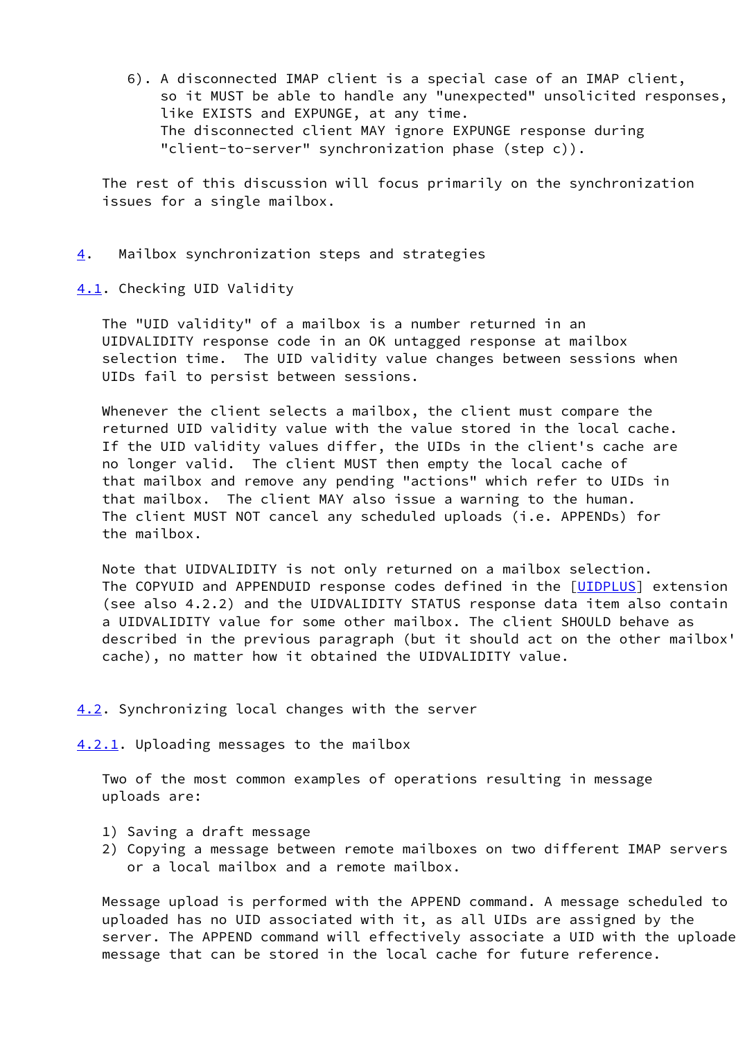6). A disconnected IMAP client is a special case of an IMAP client, so it MUST be able to handle any "unexpected" unsolicited responses, like EXISTS and EXPUNGE, at any time. The disconnected client MAY ignore EXPUNGE response during "client-to-server" synchronization phase (step c)).

 The rest of this discussion will focus primarily on the synchronization issues for a single mailbox.

<span id="page-5-2"></span>[4](#page-5-2). Mailbox synchronization steps and strategies

<span id="page-5-1"></span>[4.1](#page-5-1). Checking UID Validity

 The "UID validity" of a mailbox is a number returned in an UIDVALIDITY response code in an OK untagged response at mailbox selection time. The UID validity value changes between sessions when UIDs fail to persist between sessions.

 Whenever the client selects a mailbox, the client must compare the returned UID validity value with the value stored in the local cache. If the UID validity values differ, the UIDs in the client's cache are no longer valid. The client MUST then empty the local cache of that mailbox and remove any pending "actions" which refer to UIDs in that mailbox. The client MAY also issue a warning to the human. The client MUST NOT cancel any scheduled uploads (i.e. APPENDs) for the mailbox.

 Note that UIDVALIDITY is not only returned on a mailbox selection. The COPYUID and APPENDUID response codes defined in the [\[UIDPLUS](#page-27-1)] extension (see also 4.2.2) and the UIDVALIDITY STATUS response data item also contain a UIDVALIDITY value for some other mailbox. The client SHOULD behave as described in the previous paragraph (but it should act on the other mailbox' cache), no matter how it obtained the UIDVALIDITY value.

## <span id="page-5-3"></span>[4.2](#page-5-3). Synchronizing local changes with the server

<span id="page-5-0"></span>[4.2.1](#page-5-0). Uploading messages to the mailbox

 Two of the most common examples of operations resulting in message uploads are:

- 1) Saving a draft message
- 2) Copying a message between remote mailboxes on two different IMAP servers or a local mailbox and a remote mailbox.

Message upload is performed with the APPEND command. A message scheduled to uploaded has no UID associated with it, as all UIDs are assigned by the server. The APPEND command will effectively associate a UID with the uploade message that can be stored in the local cache for future reference.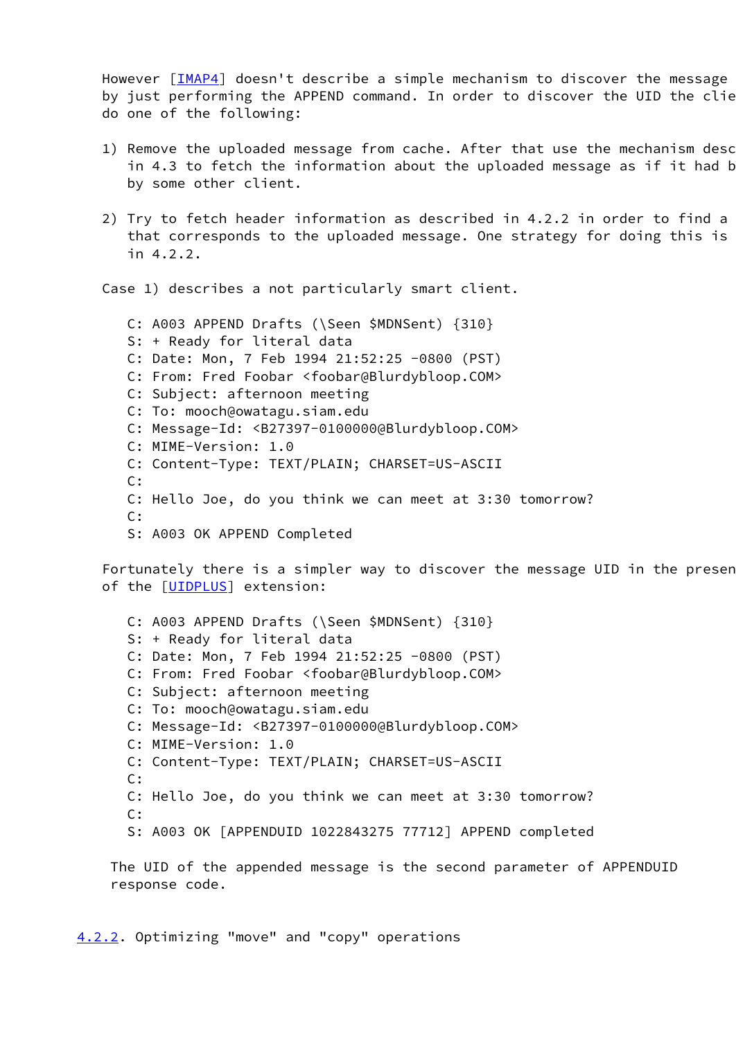However  $[IMAP4]$  $[IMAP4]$  doesn't describe a simple mechanism to discover the message by just performing the APPEND command. In order to discover the UID the clie do one of the following:

- 1) Remove the uploaded message from cache. After that use the mechanism desc in 4.3 to fetch the information about the uploaded message as if it had b by some other client.
- 2) Try to fetch header information as described in  $4.2.2$  in order to find a that corresponds to the uploaded message. One strategy for doing this is in 4.2.2.

Case 1) describes a not particularly smart client.

 C: A003 APPEND Drafts (\Seen \$MDNSent) {310} S: + Ready for literal data C: Date: Mon, 7 Feb 1994 21:52:25 -0800 (PST) C: From: Fred Foobar <foobar@Blurdybloop.COM> C: Subject: afternoon meeting C: To: mooch@owatagu.siam.edu C: Message-Id: <B27397-0100000@Blurdybloop.COM> C: MIME-Version: 1.0 C: Content-Type: TEXT/PLAIN; CHARSET=US-ASCII C: C: Hello Joe, do you think we can meet at 3:30 tomorrow? C: S: A003 OK APPEND Completed

Fortunately there is a simpler way to discover the message UID in the presen of the [\[UIDPLUS](#page-27-1)] extension:

 C: A003 APPEND Drafts (\Seen \$MDNSent) {310} S: + Ready for literal data C: Date: Mon, 7 Feb 1994 21:52:25 -0800 (PST) C: From: Fred Foobar <foobar@Blurdybloop.COM> C: Subject: afternoon meeting C: To: mooch@owatagu.siam.edu C: Message-Id: <B27397-0100000@Blurdybloop.COM> C: MIME-Version: 1.0 C: Content-Type: TEXT/PLAIN; CHARSET=US-ASCII C: C: Hello Joe, do you think we can meet at 3:30 tomorrow? C: S: A003 OK [APPENDUID 1022843275 77712] APPEND completed

 The UID of the appended message is the second parameter of APPENDUID response code.

<span id="page-6-0"></span>[4.2.2](#page-6-0). Optimizing "move" and "copy" operations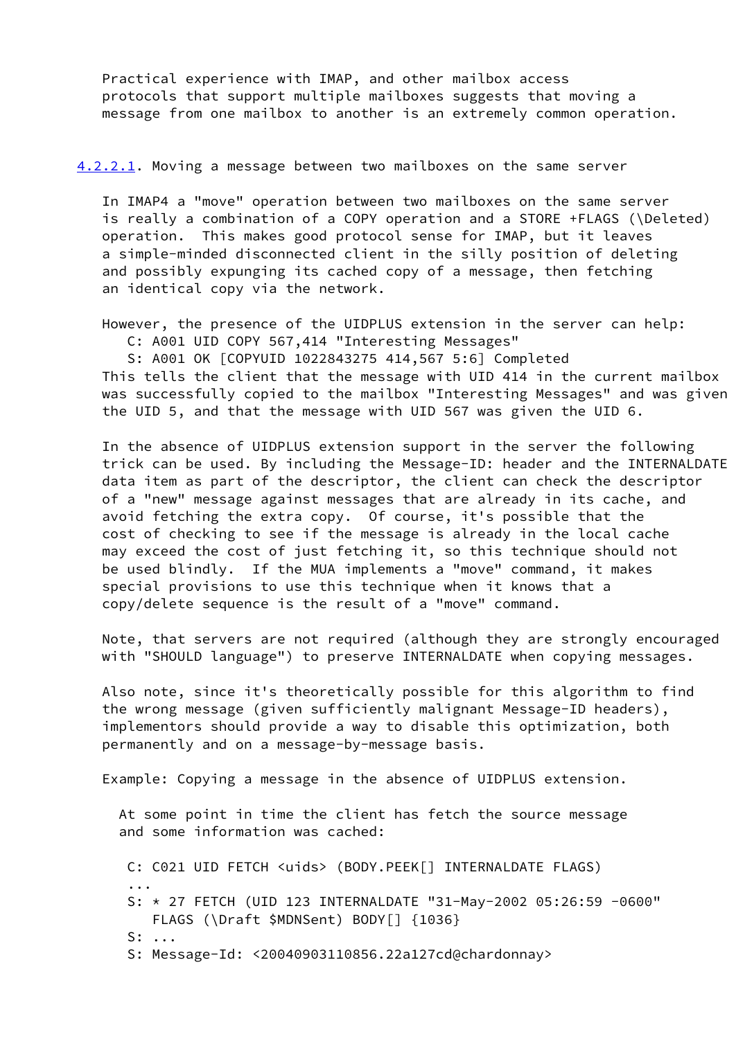Practical experience with IMAP, and other mailbox access protocols that support multiple mailboxes suggests that moving a message from one mailbox to another is an extremely common operation.

<span id="page-7-0"></span>[4.2.2.1](#page-7-0). Moving a message between two mailboxes on the same server

 In IMAP4 a "move" operation between two mailboxes on the same server is really a combination of a COPY operation and a STORE +FLAGS (\Deleted) operation. This makes good protocol sense for IMAP, but it leaves a simple-minded disconnected client in the silly position of deleting and possibly expunging its cached copy of a message, then fetching an identical copy via the network.

 However, the presence of the UIDPLUS extension in the server can help: C: A001 UID COPY 567,414 "Interesting Messages"

S: A001 OK [COPYUID 1022843275 414,567 5:6] Completed

 This tells the client that the message with UID 414 in the current mailbox was successfully copied to the mailbox "Interesting Messages" and was given the UID 5, and that the message with UID 567 was given the UID 6.

 In the absence of UIDPLUS extension support in the server the following trick can be used. By including the Message-ID: header and the INTERNALDATE data item as part of the descriptor, the client can check the descriptor of a "new" message against messages that are already in its cache, and avoid fetching the extra copy. Of course, it's possible that the cost of checking to see if the message is already in the local cache may exceed the cost of just fetching it, so this technique should not be used blindly. If the MUA implements a "move" command, it makes special provisions to use this technique when it knows that a copy/delete sequence is the result of a "move" command.

 Note, that servers are not required (although they are strongly encouraged with "SHOULD language") to preserve INTERNALDATE when copying messages.

 Also note, since it's theoretically possible for this algorithm to find the wrong message (given sufficiently malignant Message-ID headers), implementors should provide a way to disable this optimization, both permanently and on a message-by-message basis.

Example: Copying a message in the absence of UIDPLUS extension.

 At some point in time the client has fetch the source message and some information was cached:

```
 C: C021 UID FETCH <uids> (BODY.PEEK[] INTERNALDATE FLAGS)
...
     S: * 27 FETCH (UID 123 INTERNALDATE "31-May-2002 05:26:59 -0600"
         FLAGS (\Draft $MDNSent) BODY[] {1036}
     S: ...
     S: Message-Id: <20040903110856.22a127cd@chardonnay>
```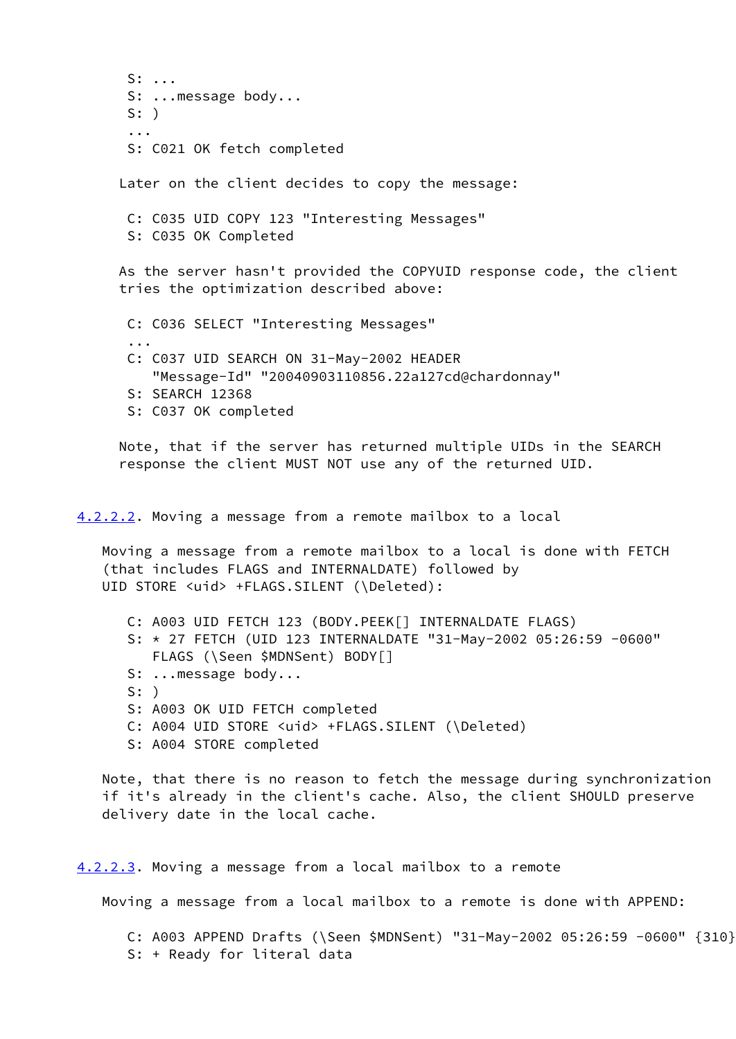S: ... S: ...message body... S: ) ... S: C021 OK fetch completed Later on the client decides to copy the message:

 C: C035 UID COPY 123 "Interesting Messages" S: C035 OK Completed

 As the server hasn't provided the COPYUID response code, the client tries the optimization described above:

 C: C036 SELECT "Interesting Messages" ... C: C037 UID SEARCH ON 31-May-2002 HEADER "Message-Id" "20040903110856.22a127cd@chardonnay" S: SEARCH 12368 S: C037 OK completed

 Note, that if the server has returned multiple UIDs in the SEARCH response the client MUST NOT use any of the returned UID.

<span id="page-8-0"></span>[4.2.2.2](#page-8-0). Moving a message from a remote mailbox to a local

 Moving a message from a remote mailbox to a local is done with FETCH (that includes FLAGS and INTERNALDATE) followed by UID STORE <uid> +FLAGS.SILENT (\Deleted):

 C: A003 UID FETCH 123 (BODY.PEEK[] INTERNALDATE FLAGS) S: \* 27 FETCH (UID 123 INTERNALDATE "31-May-2002 05:26:59 -0600" FLAGS (\Seen \$MDNSent) BODY[] S: ...message body...

- 
- S: )
- S: A003 OK UID FETCH completed
- C: A004 UID STORE <uid> +FLAGS.SILENT (\Deleted)
- S: A004 STORE completed

 Note, that there is no reason to fetch the message during synchronization if it's already in the client's cache. Also, the client SHOULD preserve delivery date in the local cache.

<span id="page-8-1"></span>[4.2.2.3](#page-8-1). Moving a message from a local mailbox to a remote

Moving a message from a local mailbox to a remote is done with APPEND:

 C: A003 APPEND Drafts (\Seen \$MDNSent) "31-May-2002 05:26:59 -0600" {310} S: + Ready for literal data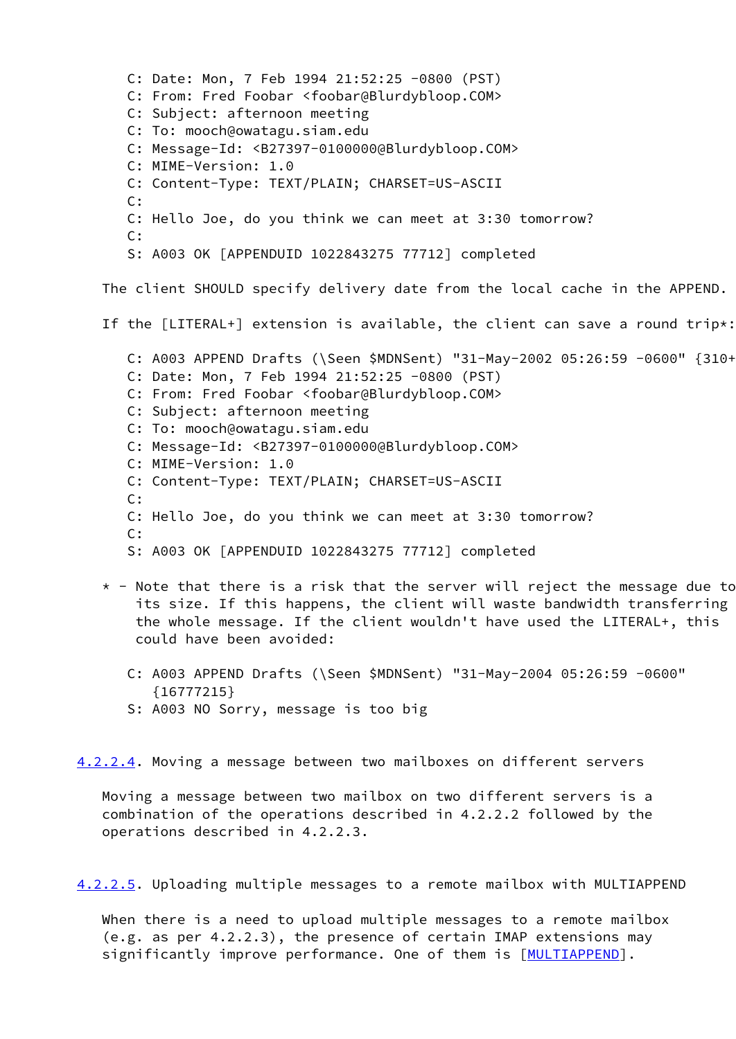```
 C: Date: Mon, 7 Feb 1994 21:52:25 -0800 (PST)
   C: From: Fred Foobar <foobar@Blurdybloop.COM>
   C: Subject: afternoon meeting
   C: To: mooch@owatagu.siam.edu
   C: Message-Id: <B27397-0100000@Blurdybloop.COM>
   C: MIME-Version: 1.0
   C: Content-Type: TEXT/PLAIN; CHARSET=US-ASCII
   C:
   C: Hello Joe, do you think we can meet at 3:30 tomorrow?
   C:
   S: A003 OK [APPENDUID 1022843275 77712] completed
The client SHOULD specify delivery date from the local cache in the APPEND.
If the [LITERAL+] extension is available, the client can save a round trip*:
   C: A003 APPEND Drafts (\Seen $MDNSent) "31-May-2002 05:26:59 -0600" {310+}
   C: Date: Mon, 7 Feb 1994 21:52:25 -0800 (PST)
   C: From: Fred Foobar <foobar@Blurdybloop.COM>
   C: Subject: afternoon meeting
   C: To: mooch@owatagu.siam.edu
   C: Message-Id: <B27397-0100000@Blurdybloop.COM>
   C: MIME-Version: 1.0
   C: Content-Type: TEXT/PLAIN; CHARSET=US-ASCII
   C:
   C: Hello Joe, do you think we can meet at 3:30 tomorrow?
   C:
   S: A003 OK [APPENDUID 1022843275 77712] completed
* - Note that there is a risk that the server will reject the message due to
    its size. If this happens, the client will waste bandwidth transferring
    the whole message. If the client wouldn't have used the LITERAL+, this
    could have been avoided:
   C: A003 APPEND Drafts (\Seen $MDNSent) "31-May-2004 05:26:59 -0600"
      {16777215}
   S: A003 NO Sorry, message is too big
```
<span id="page-9-0"></span>[4.2.2.4](#page-9-0). Moving a message between two mailboxes on different servers

 Moving a message between two mailbox on two different servers is a combination of the operations described in 4.2.2.2 followed by the operations described in 4.2.2.3.

<span id="page-9-1"></span>[4.2.2.5](#page-9-1). Uploading multiple messages to a remote mailbox with MULTIAPPEND

 When there is a need to upload multiple messages to a remote mailbox (e.g. as per 4.2.2.3), the presence of certain IMAP extensions may significantly improve performance. One of them is [[MULTIAPPEND](#page-28-1)].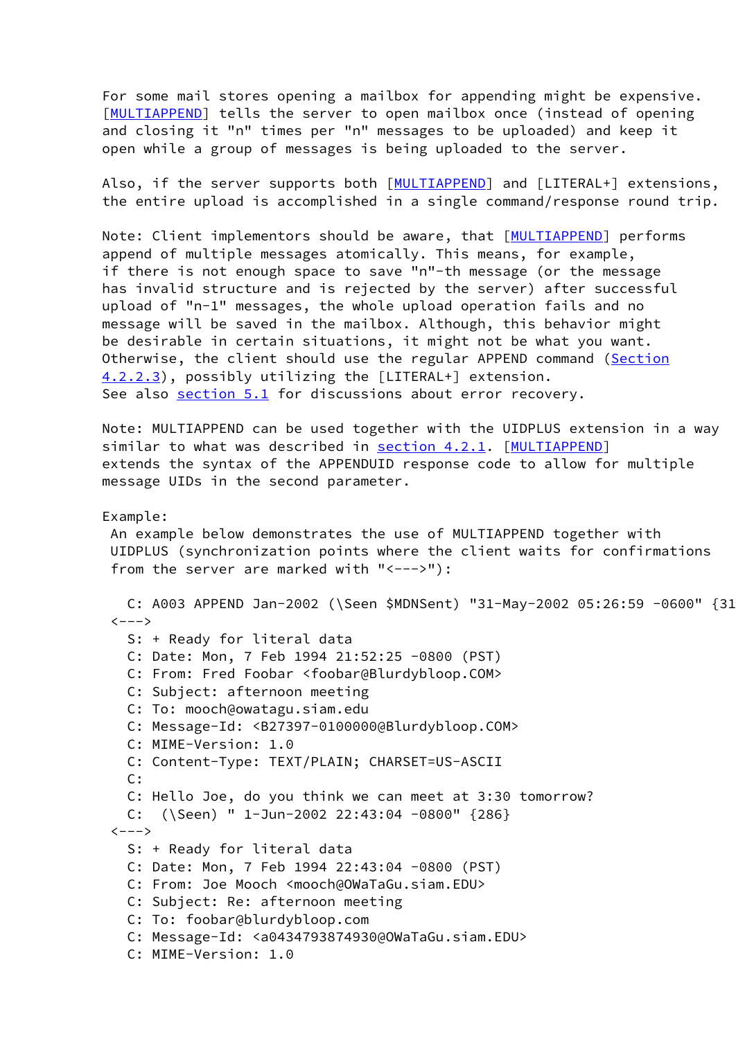For some mail stores opening a mailbox for appending might be expensive. [\[MULTIAPPEND](#page-28-1)] tells the server to open mailbox once (instead of opening and closing it "n" times per "n" messages to be uploaded) and keep it open while a group of messages is being uploaded to the server.

Also, if the server supports both [[MULTIAPPEND](#page-28-1)] and [LITERAL+] extensions, the entire upload is accomplished in a single command/response round trip.

Note: Client implementors should be aware, that [\[MULTIAPPEND](#page-28-1)] performs append of multiple messages atomically. This means, for example, if there is not enough space to save "n"-th message (or the message has invalid structure and is rejected by the server) after successful upload of "n-1" messages, the whole upload operation fails and no message will be saved in the mailbox. Although, this behavior might be desirable in certain situations, it might not be what you want. Otherwise, the client should use the regular APPEND command [\(Section](#page-8-1) [4.2.2.3](#page-8-1)), possibly utilizing the [LITERAL+] extension. See also [section 5.1](#page-21-0) for discussions about error recovery.

 Note: MULTIAPPEND can be used together with the UIDPLUS extension in a way similar to what was described in [section 4.2.1](#page-5-0). [\[MULTIAPPEND](#page-28-1)] extends the syntax of the APPENDUID response code to allow for multiple message UIDs in the second parameter.

## Example:

 An example below demonstrates the use of MULTIAPPEND together with UIDPLUS (synchronization points where the client waits for confirmations from the server are marked with "<--->"):

 C: A003 APPEND Jan-2002 (\Seen \$MDNSent) "31-May-2002 05:26:59 -0600" {310}  $\left\langle ---\right\rangle$  S: + Ready for literal data C: Date: Mon, 7 Feb 1994 21:52:25 -0800 (PST) C: From: Fred Foobar <foobar@Blurdybloop.COM> C: Subject: afternoon meeting C: To: mooch@owatagu.siam.edu C: Message-Id: <B27397-0100000@Blurdybloop.COM> C: MIME-Version: 1.0 C: Content-Type: TEXT/PLAIN; CHARSET=US-ASCII C: C: Hello Joe, do you think we can meet at 3:30 tomorrow? C: (\Seen) " 1-Jun-2002 22:43:04 -0800" {286}  $\left\langle --->\right\rangle$  S: + Ready for literal data C: Date: Mon, 7 Feb 1994 22:43:04 -0800 (PST) C: From: Joe Mooch <mooch@OWaTaGu.siam.EDU> C: Subject: Re: afternoon meeting C: To: foobar@blurdybloop.com C: Message-Id: <a0434793874930@OWaTaGu.siam.EDU> C: MIME-Version: 1.0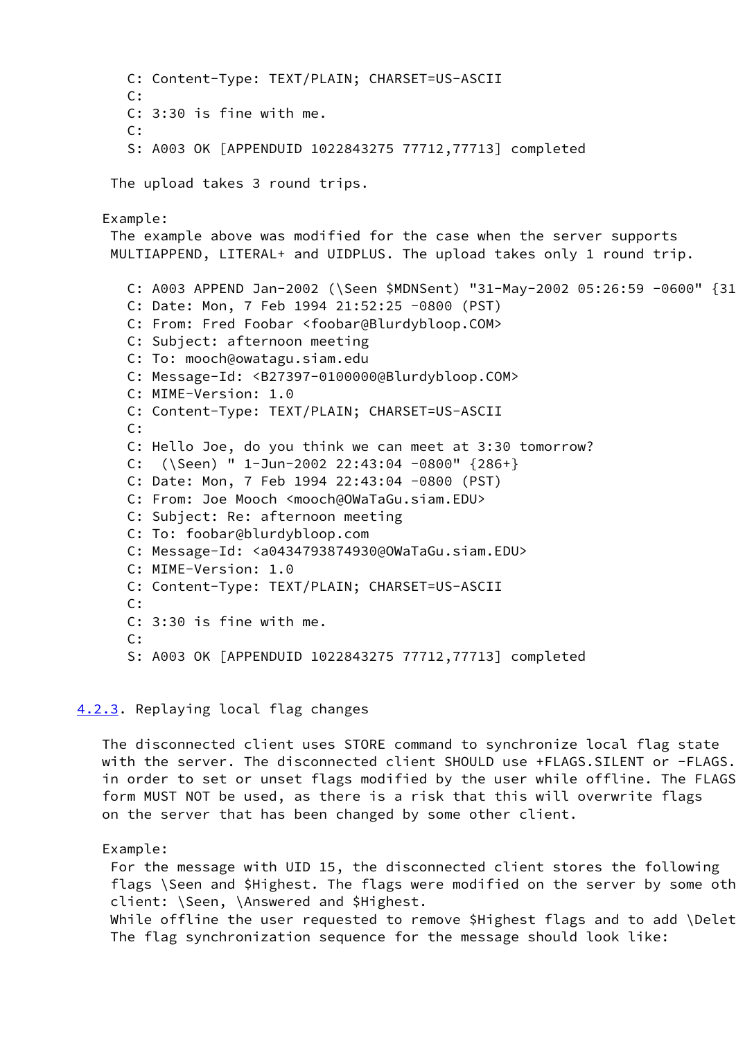```
 C: Content-Type: TEXT/PLAIN; CHARSET=US-ASCII
   C:
   C: 3:30 is fine with me.
  C: S: A003 OK [APPENDUID 1022843275 77712,77713] completed
The upload takes 3 round trips.
Example:
The example above was modified for the case when the server supports
MULTIAPPEND, LITERAL+ and UIDPLUS. The upload takes only 1 round trip.
  C: A003 APPEND Jan-2002 (\Seen $MDNSent) "31-May-2002 05:26:59 -0600" {310+}
  C: Date: Mon, 7 Feb 1994 21:52:25 -0800 (PST)
  C: From: Fred Foobar <foobar@Blurdybloop.COM>
   C: Subject: afternoon meeting
   C: To: mooch@owatagu.siam.edu
   C: Message-Id: <B27397-0100000@Blurdybloop.COM>
   C: MIME-Version: 1.0
   C: Content-Type: TEXT/PLAIN; CHARSET=US-ASCII
   C:
   C: Hello Joe, do you think we can meet at 3:30 tomorrow?
   C: (\Seen) " 1-Jun-2002 22:43:04 -0800" {286+}
   C: Date: Mon, 7 Feb 1994 22:43:04 -0800 (PST)
  C: From: Joe Mooch <mooch@OWaTaGu.siam.EDU>
  C: Subject: Re: afternoon meeting
   C: To: foobar@blurdybloop.com
   C: Message-Id: <a0434793874930@OWaTaGu.siam.EDU>
   C: MIME-Version: 1.0
   C: Content-Type: TEXT/PLAIN; CHARSET=US-ASCII
   C:
  C: 3:30 is fine with me.
  C:
  S: A003 OK [APPENDUID 1022843275 77712,77713] completed
```
# <span id="page-11-0"></span>[4.2.3](#page-11-0). Replaying local flag changes

 The disconnected client uses STORE command to synchronize local flag state with the server. The disconnected client SHOULD use +FLAGS. SILENT or -FLAGS. in order to set or unset flags modified by the user while offline. The FLAGS form MUST NOT be used, as there is a risk that this will overwrite flags on the server that has been changed by some other client.

### Example:

 For the message with UID 15, the disconnected client stores the following flags \Seen and \$Highest. The flags were modified on the server by some oth client: \Seen, \Answered and \$Highest.

While offline the user requested to remove \$Highest flags and to add \Delet The flag synchronization sequence for the message should look like: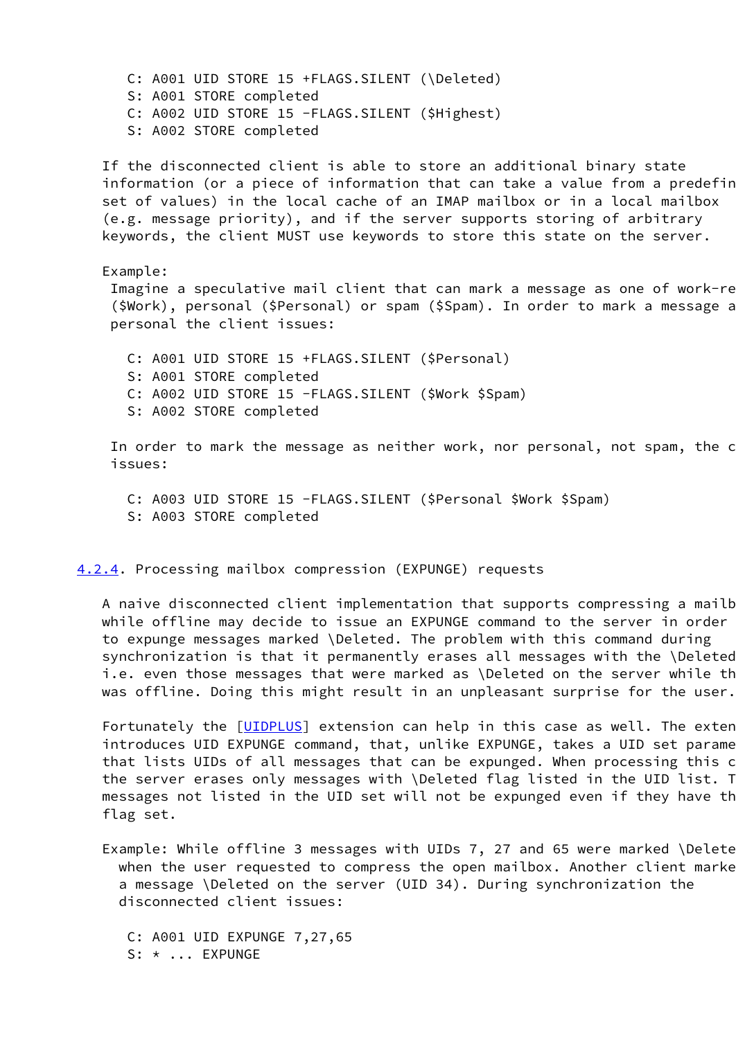C: A001 UID STORE 15 +FLAGS.SILENT (\Deleted) S: A001 STORE completed C: A002 UID STORE 15 -FLAGS.SILENT (\$Highest) S: A002 STORE completed

 If the disconnected client is able to store an additional binary state information (or a piece of information that can take a value from a predefine set of values) in the local cache of an IMAP mailbox or in a local mailbox (e.g. message priority), and if the server supports storing of arbitrary keywords, the client MUST use keywords to store this state on the server.

Example:

Imagine a speculative mail client that can mark a message as one of work-re (\$Work), personal (\$Personal) or spam (\$Spam). In order to mark a message a personal the client issues:

 C: A001 UID STORE 15 +FLAGS.SILENT (\$Personal) S: A001 STORE completed C: A002 UID STORE 15 -FLAGS.SILENT (\$Work \$Spam) S: A002 STORE completed

In order to mark the message as neither work, nor personal, not spam, the c issues:

 C: A003 UID STORE 15 -FLAGS.SILENT (\$Personal \$Work \$Spam) S: A003 STORE completed

<span id="page-12-0"></span>[4.2.4](#page-12-0). Processing mailbox compression (EXPUNGE) requests

A naive disconnected client implementation that supports compressing a mailb while offline may decide to issue an EXPUNGE command to the server in order to expunge messages marked \Deleted. The problem with this command during synchronization is that it permanently erases all messages with the \Deleted i.e. even those messages that were marked as \Deleted on the server while the was offline. Doing this might result in an unpleasant surprise for the user.

Fortunately the [\[UIDPLUS](#page-27-1)] extension can help in this case as well. The exten introduces UID EXPUNGE command, that, unlike EXPUNGE, takes a UID set parame that lists UIDs of all messages that can be expunged. When processing this c the server erases only messages with \Deleted flag listed in the UID list. T messages not listed in the UID set will not be expunged even if they have the flag set.

Example: While offline 3 messages with UIDs 7, 27 and 65 were marked \Delete when the user requested to compress the open mailbox. Another client marke a message \Deleted on the server (UID 34). During synchronization the disconnected client issues:

 C: A001 UID EXPUNGE 7,27,65 S: \* ... EXPUNGE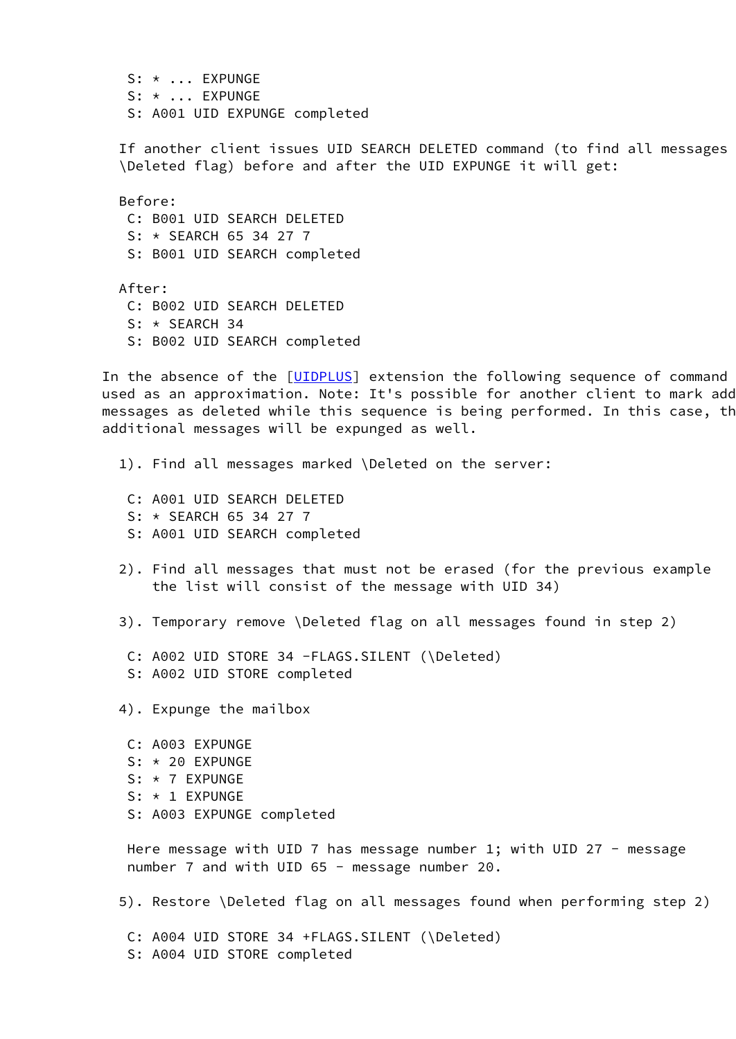S: \* ... EXPUNGE S: \* ... EXPUNGE S: A001 UID EXPUNGE completed

If another client issues UID SEARCH DELETED command (to find all messages \Deleted flag) before and after the UID EXPUNGE it will get:

 Before: C: B001 UID SEARCH DELETED S: \* SEARCH 65 34 27 7 S: B001 UID SEARCH completed

 After: C: B002 UID SEARCH DELETED S: \* SEARCH 34 S: B002 UID SEARCH completed

In the absence of the [[UIDPLUS](#page-27-1)] extension the following sequence of command used as an approximation. Note: It's possible for another client to mark add messages as deleted while this sequence is being performed. In this case, th additional messages will be expunged as well.

- 1). Find all messages marked \Deleted on the server:
	- C: A001 UID SEARCH DELETED
	- S: \* SEARCH 65 34 27 7
	- S: A001 UID SEARCH completed
- 2). Find all messages that must not be erased (for the previous example the list will consist of the message with UID 34)
- 3). Temporary remove \Deleted flag on all messages found in step 2)
	- C: A002 UID STORE 34 -FLAGS.SILENT (\Deleted)
	- S: A002 UID STORE completed

4). Expunge the mailbox

 C: A003 EXPUNGE S: \* 20 EXPUNGE S: \* 7 EXPUNGE S: \* 1 EXPUNGE S: A003 EXPUNGE completed

Here message with UID 7 has message number 1; with UID 27 - message number 7 and with UID 65 - message number 20.

5). Restore \Deleted flag on all messages found when performing step 2)

 C: A004 UID STORE 34 +FLAGS.SILENT (\Deleted) S: A004 UID STORE completed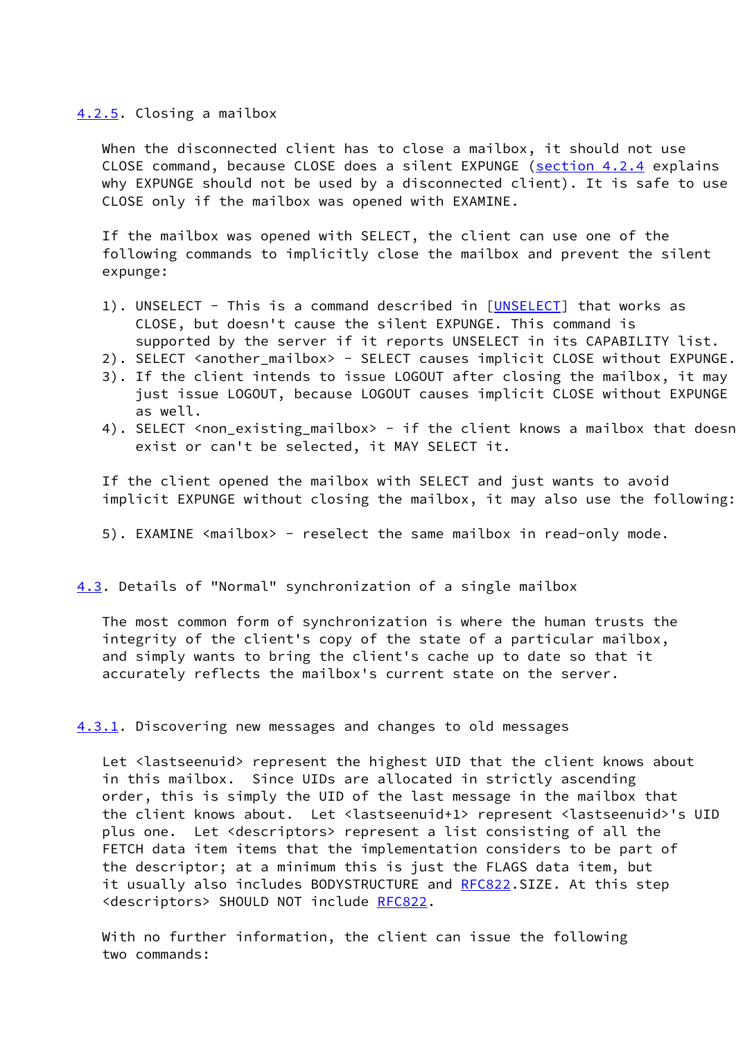### <span id="page-14-0"></span>[4.2.5](#page-14-0). Closing a mailbox

When the disconnected client has to close a mailbox, it should not use CLOSE command, because CLOSE does a silent EXPUNGE ([section 4.2.4](#page-12-0) explains why EXPUNGE should not be used by a disconnected client). It is safe to use CLOSE only if the mailbox was opened with EXAMINE.

 If the mailbox was opened with SELECT, the client can use one of the following commands to implicitly close the mailbox and prevent the silent expunge:

- 1). UNSELECT This is a command described in [[UNSELECT\]](#page-28-2) that works as CLOSE, but doesn't cause the silent EXPUNGE. This command is supported by the server if it reports UNSELECT in its CAPABILITY list.
- 2). SELECT <another\_mailbox> SELECT causes implicit CLOSE without EXPUNGE.
- 3). If the client intends to issue LOGOUT after closing the mailbox, it may just issue LOGOUT, because LOGOUT causes implicit CLOSE without EXPUNGE as well.
- 4). SELECT <non\_existing\_mailbox> if the client knows a mailbox that doesn exist or can't be selected, it MAY SELECT it.

 If the client opened the mailbox with SELECT and just wants to avoid implicit EXPUNGE without closing the mailbox, it may also use the following:

5). EXAMINE <mailbox> - reselect the same mailbox in read-only mode.

<span id="page-14-1"></span>[4.3](#page-14-1). Details of "Normal" synchronization of a single mailbox

 The most common form of synchronization is where the human trusts the integrity of the client's copy of the state of a particular mailbox, and simply wants to bring the client's cache up to date so that it accurately reflects the mailbox's current state on the server.

#### <span id="page-14-2"></span>[4.3.1](#page-14-2). Discovering new messages and changes to old messages

 Let <lastseenuid> represent the highest UID that the client knows about in this mailbox. Since UIDs are allocated in strictly ascending order, this is simply the UID of the last message in the mailbox that the client knows about. Let <lastseenuid+1> represent <lastseenuid>'s UID plus one. Let <descriptors> represent a list consisting of all the FETCH data item items that the implementation considers to be part of the descriptor; at a minimum this is just the FLAGS data item, but it usually also includes BODYSTRUCTURE and [RFC822](https://datatracker.ietf.org/doc/pdf/rfc822).SIZE. At this step <descriptors> SHOULD NOT include [RFC822](https://datatracker.ietf.org/doc/pdf/rfc822).

 With no further information, the client can issue the following two commands: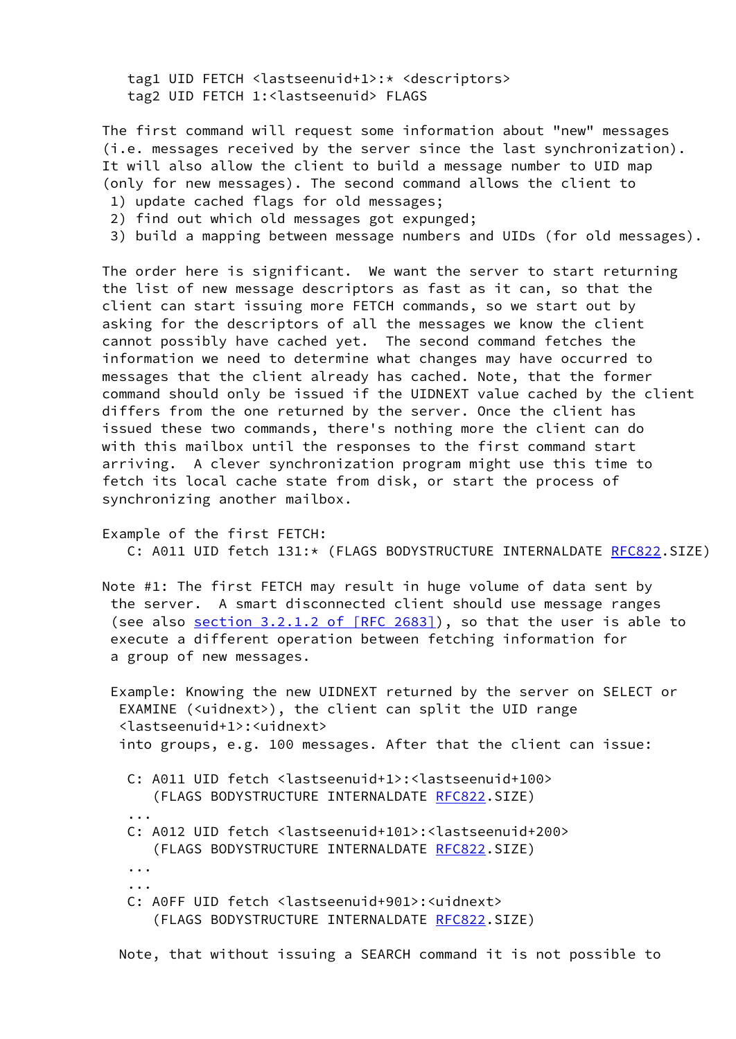tag1 UID FETCH <lastseenuid+1>:\* <descriptors> tag2 UID FETCH 1:<lastseenuid> FLAGS

 The first command will request some information about "new" messages (i.e. messages received by the server since the last synchronization). It will also allow the client to build a message number to UID map (only for new messages). The second command allows the client to

- 1) update cached flags for old messages;
- 2) find out which old messages got expunged;
- 3) build a mapping between message numbers and UIDs (for old messages).

 The order here is significant. We want the server to start returning the list of new message descriptors as fast as it can, so that the client can start issuing more FETCH commands, so we start out by asking for the descriptors of all the messages we know the client cannot possibly have cached yet. The second command fetches the information we need to determine what changes may have occurred to messages that the client already has cached. Note, that the former command should only be issued if the UIDNEXT value cached by the client differs from the one returned by the server. Once the client has issued these two commands, there's nothing more the client can do with this mailbox until the responses to the first command start arriving. A clever synchronization program might use this time to fetch its local cache state from disk, or start the process of synchronizing another mailbox.

 Example of the first FETCH: C: A011 UID fetch 131:\* (FLAGS BODYSTRUCTURE INTERNALDATE [RFC822](https://datatracker.ietf.org/doc/pdf/rfc822).SIZE)

 Note #1: The first FETCH may result in huge volume of data sent by the server. A smart disconnected client should use message ranges (see also section [3.2.1.2 of \[RFC 2683\]\)](https://datatracker.ietf.org/doc/pdf/rfc2683#section-3.2.1.2), so that the user is able to execute a different operation between fetching information for a group of new messages.

 Example: Knowing the new UIDNEXT returned by the server on SELECT or EXAMINE (<uidnext>), the client can split the UID range <lastseenuid+1>:<uidnext> into groups, e.g. 100 messages. After that the client can issue:

 C: A011 UID fetch <lastseenuid+1>:<lastseenuid+100> (FLAGS BODYSTRUCTURE INTERNALDATE [RFC822](https://datatracker.ietf.org/doc/pdf/rfc822).SIZE)

- C: A012 UID fetch <lastseenuid+101>:<lastseenuid+200> (FLAGS BODYSTRUCTURE INTERNALDATE [RFC822](https://datatracker.ietf.org/doc/pdf/rfc822).SIZE)
- ... ...

...

 C: A0FF UID fetch <lastseenuid+901>:<uidnext> (FLAGS BODYSTRUCTURE INTERNALDATE [RFC822](https://datatracker.ietf.org/doc/pdf/rfc822).SIZE)

Note, that without issuing a SEARCH command it is not possible to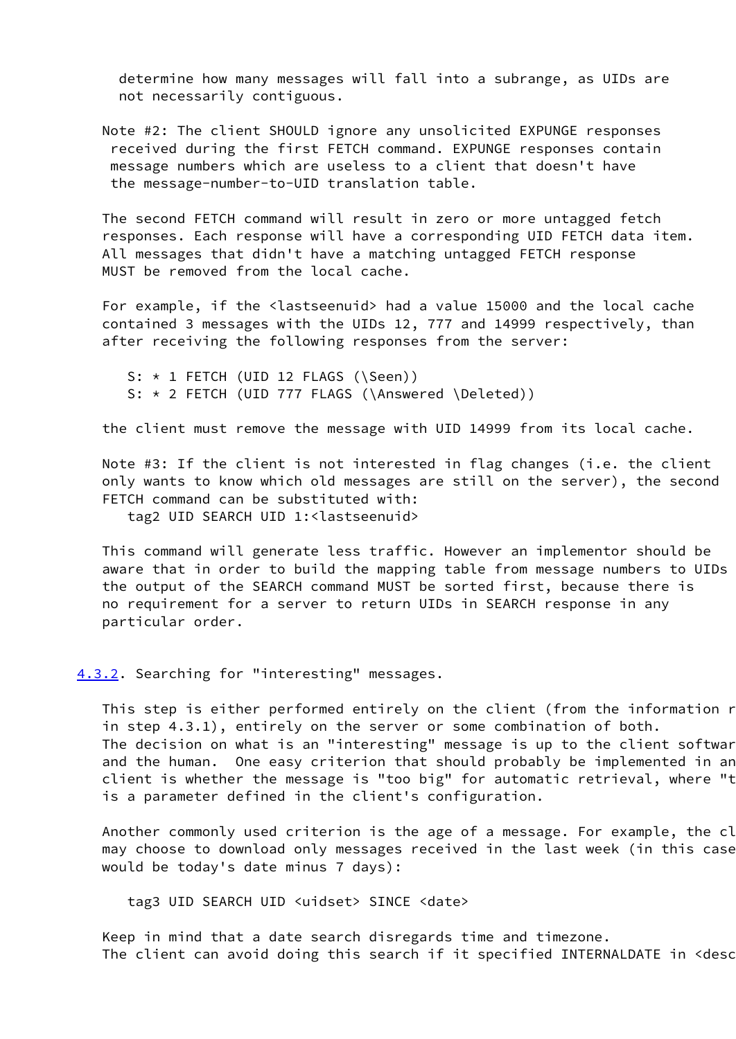determine how many messages will fall into a subrange, as UIDs are not necessarily contiguous.

 Note #2: The client SHOULD ignore any unsolicited EXPUNGE responses received during the first FETCH command. EXPUNGE responses contain message numbers which are useless to a client that doesn't have the message-number-to-UID translation table.

 The second FETCH command will result in zero or more untagged fetch responses. Each response will have a corresponding UID FETCH data item. All messages that didn't have a matching untagged FETCH response MUST be removed from the local cache.

 For example, if the <lastseenuid> had a value 15000 and the local cache contained 3 messages with the UIDs 12, 777 and 14999 respectively, than after receiving the following responses from the server:

S:  $*$  1 FETCH (UID 12 FLAGS (\Seen)) S: \* 2 FETCH (UID 777 FLAGS (\Answered \Deleted))

the client must remove the message with UID 14999 from its local cache.

Note #3: If the client is not interested in flag changes (i.e. the client only wants to know which old messages are still on the server), the second FETCH command can be substituted with:

tag2 UID SEARCH UID 1:<lastseenuid>

 This command will generate less traffic. However an implementor should be aware that in order to build the mapping table from message numbers to UIDs the output of the SEARCH command MUST be sorted first, because there is no requirement for a server to return UIDs in SEARCH response in any particular order.

<span id="page-16-0"></span>[4.3.2](#page-16-0). Searching for "interesting" messages.

This step is either performed entirely on the client (from the information recent in step 4.3.1), entirely on the server or some combination of both. The decision on what is an "interesting" message is up to the client softwar and the human. One easy criterion that should probably be implemented in an client is whether the message is "too big" for automatic retrieval, where "t is a parameter defined in the client's configuration.

Another commonly used criterion is the age of a message. For example, the cl may choose to download only messages received in the last week (in this case would be today's date minus 7 days):

tag3 UID SEARCH UID <uidset> SINCE <date>

 Keep in mind that a date search disregards time and timezone. The client can avoid doing this search if it specified INTERNALDATE in <desc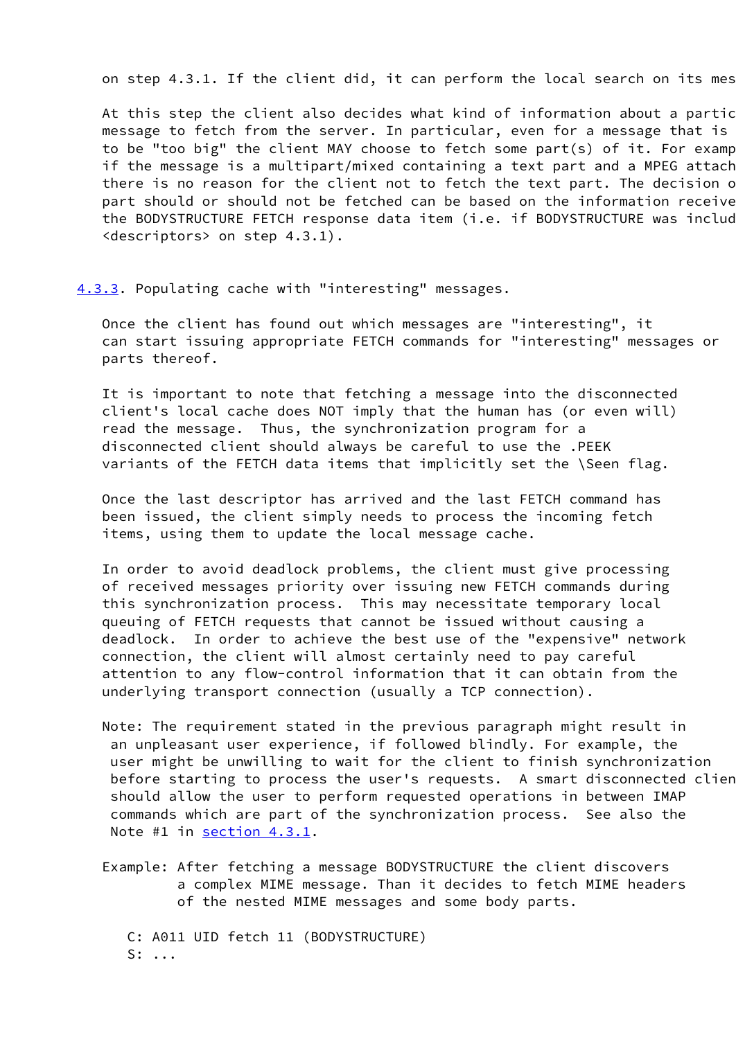on step 4.3.1. If the client did, it can perform the local search on its mes

At this step the client also decides what kind of information about a partic message to fetch from the server. In particular, even for a message that is to be "too big" the client MAY choose to fetch some part(s) of it. For examp if the message is a multipart/mixed containing a text part and a MPEG attach there is no reason for the client not to fetch the text part. The decision of part should or should not be fetched can be based on the information receive the BODYSTRUCTURE FETCH response data item (i.e. if BODYSTRUCTURE was included in the interpret in the interpret in the included in the interpret in the interpret in the interpret in the interpret in the interpret in the i <descriptors> on step 4.3.1).

<span id="page-17-0"></span>[4.3.3](#page-17-0). Populating cache with "interesting" messages.

 Once the client has found out which messages are "interesting", it can start issuing appropriate FETCH commands for "interesting" messages or parts thereof.

 It is important to note that fetching a message into the disconnected client's local cache does NOT imply that the human has (or even will) read the message. Thus, the synchronization program for a disconnected client should always be careful to use the .PEEK variants of the FETCH data items that implicitly set the \Seen flag.

 Once the last descriptor has arrived and the last FETCH command has been issued, the client simply needs to process the incoming fetch items, using them to update the local message cache.

 In order to avoid deadlock problems, the client must give processing of received messages priority over issuing new FETCH commands during this synchronization process. This may necessitate temporary local queuing of FETCH requests that cannot be issued without causing a deadlock. In order to achieve the best use of the "expensive" network connection, the client will almost certainly need to pay careful attention to any flow-control information that it can obtain from the underlying transport connection (usually a TCP connection).

 Note: The requirement stated in the previous paragraph might result in an unpleasant user experience, if followed blindly. For example, the user might be unwilling to wait for the client to finish synchronization before starting to process the user's requests. A smart disconnected client should allow the user to perform requested operations in between IMAP commands which are part of the synchronization process. See also the Note #1 in [section 4.3.1.](#page-14-2)

 Example: After fetching a message BODYSTRUCTURE the client discovers a complex MIME message. Than it decides to fetch MIME headers of the nested MIME messages and some body parts.

 C: A011 UID fetch 11 (BODYSTRUCTURE) S: ...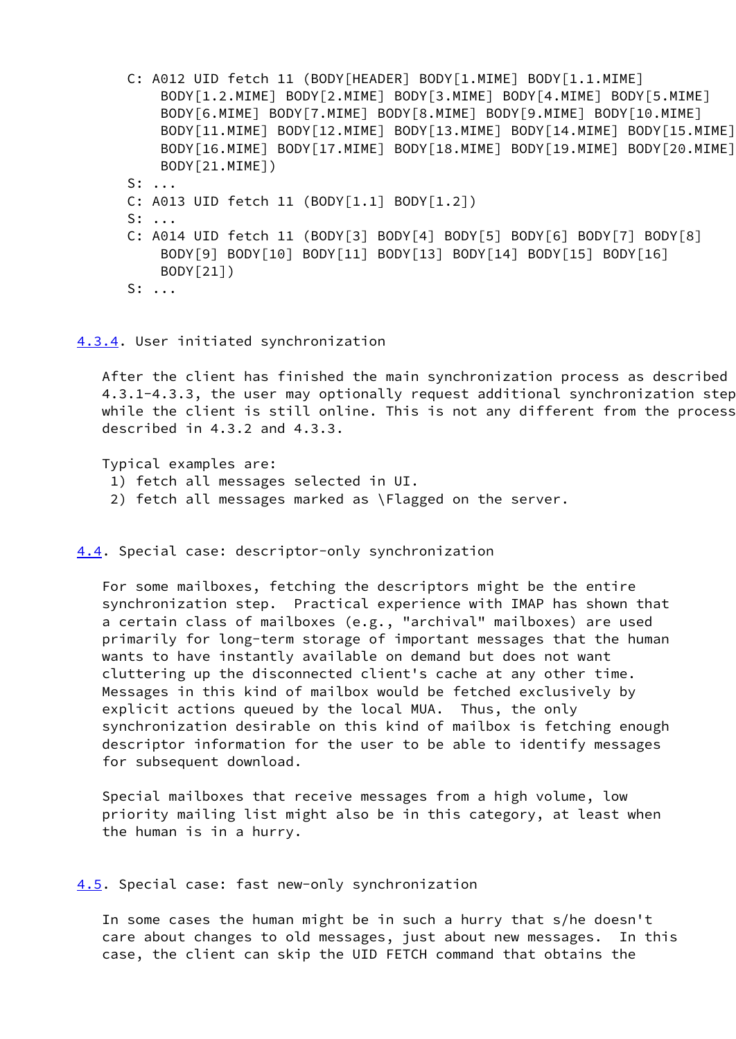C: A012 UID fetch 11 (BODY[HEADER] BODY[1.MIME] BODY[1.1.MIME] BODY[1.2.MIME] BODY[2.MIME] BODY[3.MIME] BODY[4.MIME] BODY[5.MIME] BODY[6.MIME] BODY[7.MIME] BODY[8.MIME] BODY[9.MIME] BODY[10.MIME] BODY[11.MIME] BODY[12.MIME] BODY[13.MIME] BODY[14.MIME] BODY[15.MIME] BODY[16.MIME] BODY[17.MIME] BODY[18.MIME] BODY[19.MIME] BODY[20.MIME] BODY[21.MIME]) S: ... C: A013 UID fetch 11 (BODY[1.1] BODY[1.2]) S: ... C: A014 UID fetch 11 (BODY[3] BODY[4] BODY[5] BODY[6] BODY[7] BODY[8] BODY[9] BODY[10] BODY[11] BODY[13] BODY[14] BODY[15] BODY[16] BODY[21]) S: ...

### <span id="page-18-0"></span>[4.3.4](#page-18-0). User initiated synchronization

After the client has finished the main synchronization process as described 4.3.1-4.3.3, the user may optionally request additional synchronization steps while the client is still online. This is not any different from the process described in 4.3.2 and 4.3.3.

Typical examples are:

- 1) fetch all messages selected in UI.
- 2) fetch all messages marked as \Flagged on the server.

<span id="page-18-1"></span>[4.4](#page-18-1). Special case: descriptor-only synchronization

 For some mailboxes, fetching the descriptors might be the entire synchronization step. Practical experience with IMAP has shown that a certain class of mailboxes (e.g., "archival" mailboxes) are used primarily for long-term storage of important messages that the human wants to have instantly available on demand but does not want cluttering up the disconnected client's cache at any other time. Messages in this kind of mailbox would be fetched exclusively by explicit actions queued by the local MUA. Thus, the only synchronization desirable on this kind of mailbox is fetching enough descriptor information for the user to be able to identify messages for subsequent download.

 Special mailboxes that receive messages from a high volume, low priority mailing list might also be in this category, at least when the human is in a hurry.

<span id="page-18-2"></span>[4.5](#page-18-2). Special case: fast new-only synchronization

 In some cases the human might be in such a hurry that s/he doesn't care about changes to old messages, just about new messages. In this case, the client can skip the UID FETCH command that obtains the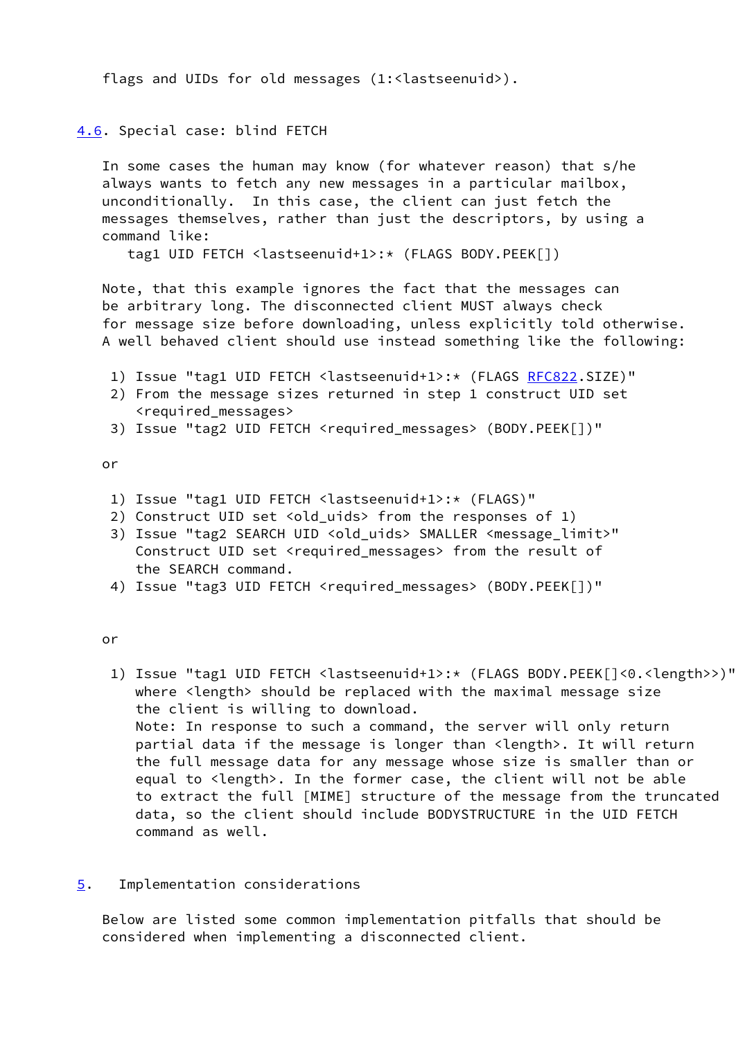flags and UIDs for old messages (1:<lastseenuid>).

# <span id="page-19-1"></span>[4.6](#page-19-1). Special case: blind FETCH

 In some cases the human may know (for whatever reason) that s/he always wants to fetch any new messages in a particular mailbox, unconditionally. In this case, the client can just fetch the messages themselves, rather than just the descriptors, by using a command like:

tag1 UID FETCH <lastseenuid+1>:\* (FLAGS BODY.PEEK[])

 Note, that this example ignores the fact that the messages can be arbitrary long. The disconnected client MUST always check for message size before downloading, unless explicitly told otherwise. A well behaved client should use instead something like the following:

- 1) Issue "tag1 UID FETCH <lastseenuid+1>:\* (FLAGS [RFC822](https://datatracker.ietf.org/doc/pdf/rfc822).SIZE)"
- 2) From the message sizes returned in step 1 construct UID set <required\_messages>
- 3) Issue "tag2 UID FETCH <required\_messages> (BODY.PEEK[])"

## or

- 1) Issue "tag1 UID FETCH <lastseenuid+1>:\* (FLAGS)"
- 2) Construct UID set <old\_uids> from the responses of 1)
- 3) Issue "tag2 SEARCH UID <old\_uids> SMALLER <message\_limit>" Construct UID set <required\_messages> from the result of the SEARCH command.
- 4) Issue "tag3 UID FETCH <required\_messages> (BODY.PEEK[])"

# or

- 1) Issue "tag1 UID FETCH <lastseenuid+1>:\* (FLAGS BODY.PEEK[]<0.<length>>)" where <length> should be replaced with the maximal message size the client is willing to download. Note: In response to such a command, the server will only return partial data if the message is longer than <length>. It will return the full message data for any message whose size is smaller than or equal to <length>. In the former case, the client will not be able to extract the full [MIME] structure of the message from the truncated data, so the client should include BODYSTRUCTURE in the UID FETCH command as well.
- <span id="page-19-0"></span>[5](#page-19-0). Implementation considerations

 Below are listed some common implementation pitfalls that should be considered when implementing a disconnected client.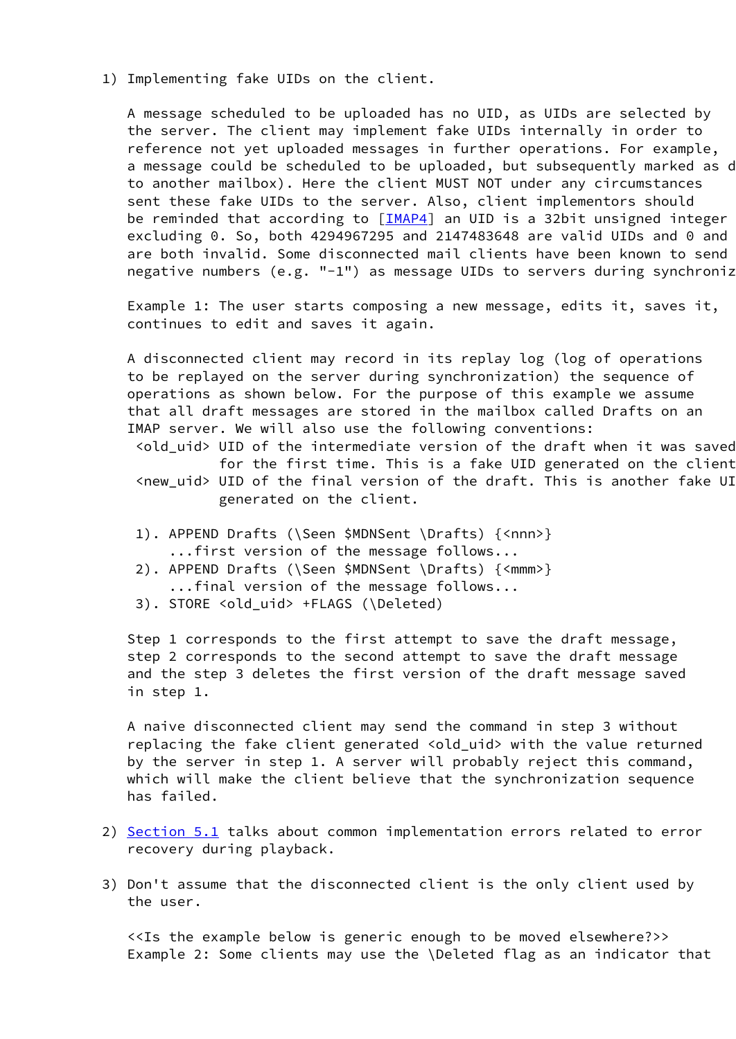1) Implementing fake UIDs on the client.

 A message scheduled to be uploaded has no UID, as UIDs are selected by the server. The client may implement fake UIDs internally in order to reference not yet uploaded messages in further operations. For example, a message could be scheduled to be uploaded, but subsequently marked as d to another mailbox). Here the client MUST NOT under any circumstances sent these fake UIDs to the server. Also, client implementors should be reminded that according to [\[IMAP4\]](#page-27-0) an UID is a 32bit unsigned integer excluding  $0.$  So, both 4294967295 and 2147483648 are valid UIDs and  $0$  and are both invalid. Some disconnected mail clients have been known to send negative numbers (e.g. "-1") as message UIDs to servers during synchroniz

 Example 1: The user starts composing a new message, edits it, saves it, continues to edit and saves it again.

 A disconnected client may record in its replay log (log of operations to be replayed on the server during synchronization) the sequence of operations as shown below. For the purpose of this example we assume that all draft messages are stored in the mailbox called Drafts on an IMAP server. We will also use the following conventions:

 <old\_uid> UID of the intermediate version of the draft when it was saved for the first time. This is a fake UID generated on the client. <new\_uid> UID of the final version of the draft. This is another fake UID generated on the client.

- 1). APPEND Drafts (\Seen \$MDNSent \Drafts) {<nnn>} ...first version of the message follows...
- 2). APPEND Drafts (\Seen \$MDNSent \Drafts) {<mmm>} ...final version of the message follows...
- 3). STORE <old\_uid> +FLAGS (\Deleted)

 Step 1 corresponds to the first attempt to save the draft message, step 2 corresponds to the second attempt to save the draft message and the step 3 deletes the first version of the draft message saved in step 1.

 A naive disconnected client may send the command in step 3 without replacing the fake client generated <old\_uid> with the value returned by the server in step 1. A server will probably reject this command, which will make the client believe that the synchronization sequence has failed.

- 2) [Section 5.1](#page-21-0) talks about common implementation errors related to error recovery during playback.
- 3) Don't assume that the disconnected client is the only client used by the user.

 <<Is the example below is generic enough to be moved elsewhere?>> Example 2: Some clients may use the \Deleted flag as an indicator that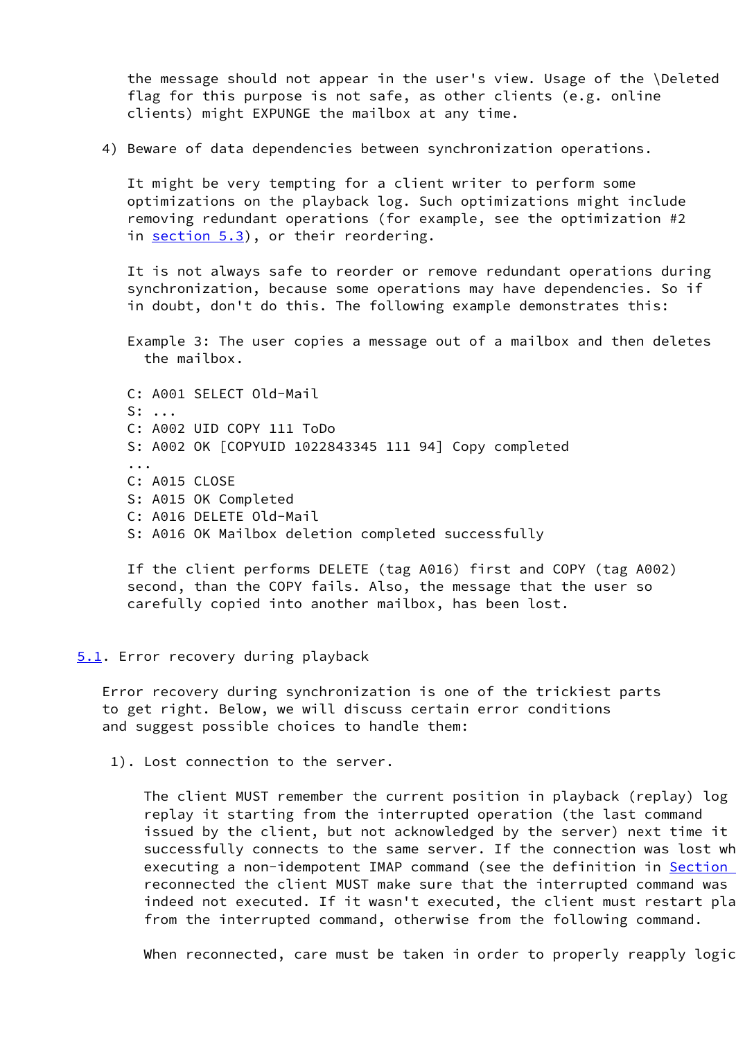the message should not appear in the user's view. Usage of the \Deleted flag for this purpose is not safe, as other clients (e.g. online clients) might EXPUNGE the mailbox at any time.

4) Beware of data dependencies between synchronization operations.

 It might be very tempting for a client writer to perform some optimizations on the playback log. Such optimizations might include removing redundant operations (for example, see the optimization #2 in [section 5.3](#page-23-0)), or their reordering.

 It is not always safe to reorder or remove redundant operations during synchronization, because some operations may have dependencies. So if in doubt, don't do this. The following example demonstrates this:

 Example 3: The user copies a message out of a mailbox and then deletes the mailbox.

 C: A001 SELECT Old-Mail S: ... C: A002 UID COPY 111 ToDo S: A002 OK [COPYUID 1022843345 111 94] Copy completed ... C: A015 CLOSE S: A015 OK Completed C: A016 DELETE Old-Mail S: A016 OK Mailbox deletion completed successfully

 If the client performs DELETE (tag A016) first and COPY (tag A002) second, than the COPY fails. Also, the message that the user so carefully copied into another mailbox, has been lost.

### <span id="page-21-0"></span>[5.1](#page-21-0). Error recovery during playback

 Error recovery during synchronization is one of the trickiest parts to get right. Below, we will discuss certain error conditions and suggest possible choices to handle them:

1). Lost connection to the server.

The client MUST remember the current position in playback (replay) log replay it starting from the interrupted operation (the last command issued by the client, but not acknowledged by the server) next time it successfully connects to the same server. If the connection was lost wh executing a non-idempotent IMAP command (see the definition in Section reconnected the client MUST make sure that the interrupted command was indeed not executed. If it wasn't executed, the client must restart pla from the interrupted command, otherwise from the following command.

When reconnected, care must be taken in order to properly reapply logic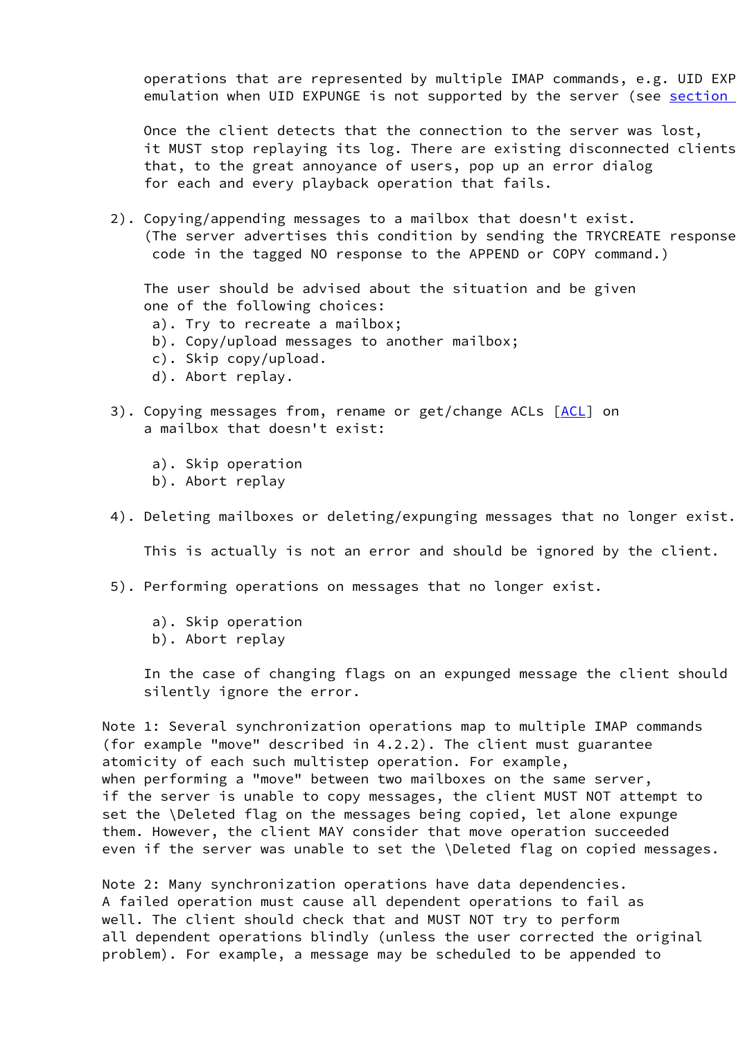operations that are represented by multiple IMAP commands,  $e.g.$  UID EXP emulation when UID EXPUNGE is not supported by the server (see section

 Once the client detects that the connection to the server was lost, it MUST stop replaying its log. There are existing disconnected clients that, to the great annoyance of users, pop up an error dialog for each and every playback operation that fails.

 2). Copying/appending messages to a mailbox that doesn't exist. (The server advertises this condition by sending the TRYCREATE response code in the tagged NO response to the APPEND or COPY command.)

 The user should be advised about the situation and be given one of the following choices:

- a). Try to recreate a mailbox;
- b). Copy/upload messages to another mailbox;
- c). Skip copy/upload.
- d). Abort replay.
- 3). Copying messages from, rename or get/change [ACL](#page-28-3)s [ACL] on a mailbox that doesn't exist:
	- a). Skip operation
	- b). Abort replay
- 4). Deleting mailboxes or deleting/expunging messages that no longer exist.

This is actually is not an error and should be ignored by the client.

- 5). Performing operations on messages that no longer exist.
	- a). Skip operation
	- b). Abort replay

 In the case of changing flags on an expunged message the client should silently ignore the error.

 Note 1: Several synchronization operations map to multiple IMAP commands (for example "move" described in 4.2.2). The client must guarantee atomicity of each such multistep operation. For example, when performing a "move" between two mailboxes on the same server, if the server is unable to copy messages, the client MUST NOT attempt to set the \Deleted flag on the messages being copied, let alone expunge them. However, the client MAY consider that move operation succeeded even if the server was unable to set the \Deleted flag on copied messages.

 Note 2: Many synchronization operations have data dependencies. A failed operation must cause all dependent operations to fail as well. The client should check that and MUST NOT try to perform all dependent operations blindly (unless the user corrected the original problem). For example, a message may be scheduled to be appended to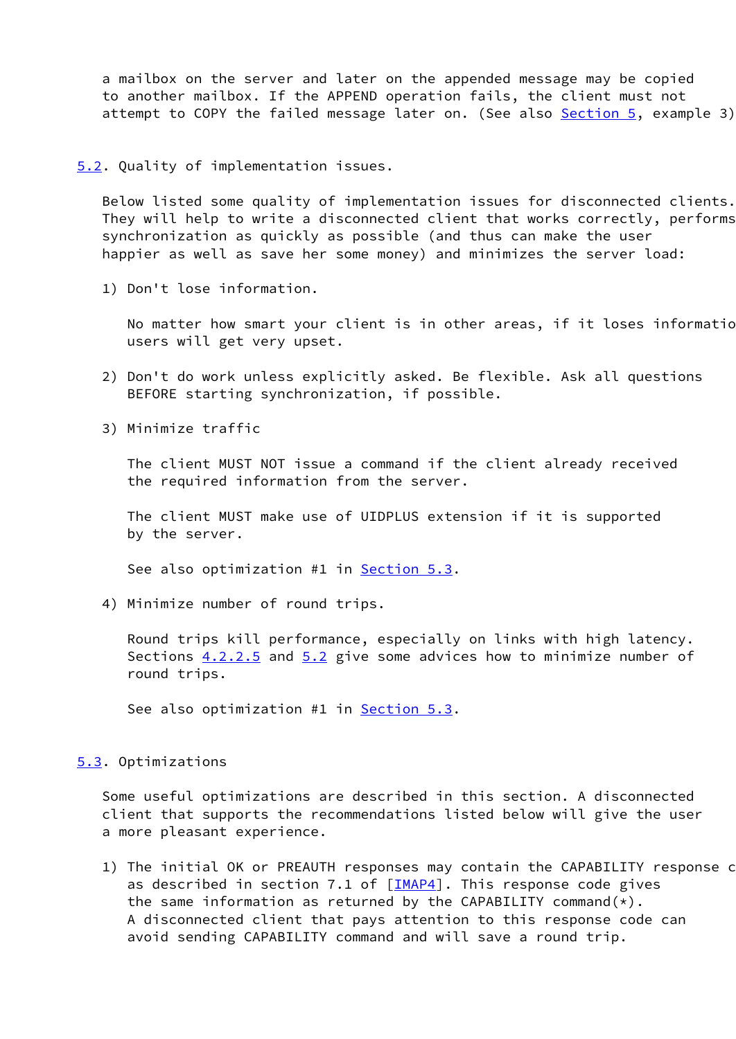a mailbox on the server and later on the appended message may be copied to another mailbox. If the APPEND operation fails, the client must not attempt to COPY the failed message later on. (See also [Section 5,](#page-19-0) example 3)

## <span id="page-23-1"></span>[5.2](#page-23-1). Quality of implementation issues.

 Below listed some quality of implementation issues for disconnected clients. They will help to write a disconnected client that works correctly, performs synchronization as quickly as possible (and thus can make the user happier as well as save her some money) and minimizes the server load:

1) Don't lose information.

No matter how smart your client is in other areas, if it loses informatio users will get very upset.

- 2) Don't do work unless explicitly asked. Be flexible. Ask all questions BEFORE starting synchronization, if possible.
- 3) Minimize traffic

 The client MUST NOT issue a command if the client already received the required information from the server.

 The client MUST make use of UIDPLUS extension if it is supported by the server.

See also optimization #1 in [Section 5.3](#page-23-0).

4) Minimize number of round trips.

 Round trips kill performance, especially on links with high latency. Sections  $4.2.2.5$  and  $5.2$  give some advices how to minimize number of round trips.

See also optimization #1 in **[Section 5.3](#page-23-0).** 

### <span id="page-23-0"></span>[5.3](#page-23-0). Optimizations

 Some useful optimizations are described in this section. A disconnected client that supports the recommendations listed below will give the user a more pleasant experience.

1) The initial OK or PREAUTH responses may contain the CAPABILITY response c as described in section 7.1 of  $[\underline{IMAP4}]$ . This response code gives the same information as returned by the CAPABILITY command $(*)$ . A disconnected client that pays attention to this response code can avoid sending CAPABILITY command and will save a round trip.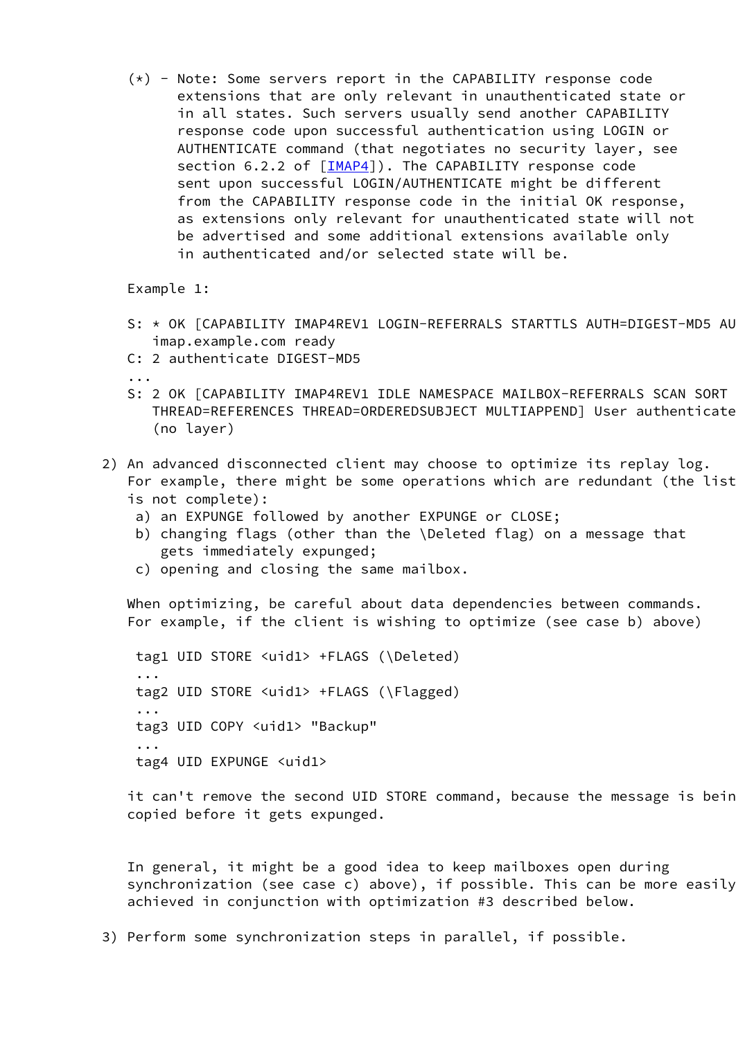(\*) - Note: Some servers report in the CAPABILITY response code extensions that are only relevant in unauthenticated state or in all states. Such servers usually send another CAPABILITY response code upon successful authentication using LOGIN or AUTHENTICATE command (that negotiates no security layer, see section 6.2.2 of [[IMAP4\]](#page-27-0)). The CAPABILITY response code sent upon successful LOGIN/AUTHENTICATE might be different from the CAPABILITY response code in the initial OK response, as extensions only relevant for unauthenticated state will not be advertised and some additional extensions available only in authenticated and/or selected state will be.

Example 1:

- S: \* OK [CAPABILITY IMAP4REV1 LOGIN-REFERRALS STARTTLS AUTH=DIGEST-MD5 AU imap.example.com ready
- C: 2 authenticate DIGEST-MD5
- ...
	- S: 2 OK [CAPABILITY IMAP4REV1 IDLE NAMESPACE MAILBOX-REFERRALS SCAN SORT THREAD=REFERENCES THREAD=ORDEREDSUBJECT MULTIAPPEND] User authenticated (no layer)
	- 2) An advanced disconnected client may choose to optimize its replay log. For example, there might be some operations which are redundant (the list is not complete):
		- a) an EXPUNGE followed by another EXPUNGE or CLOSE;
		- b) changing flags (other than the \Deleted flag) on a message that gets immediately expunged;
		- c) opening and closing the same mailbox.

 When optimizing, be careful about data dependencies between commands. For example, if the client is wishing to optimize (see case b) above)

 tag1 UID STORE <uid1> +FLAGS (\Deleted) ... tag2 UID STORE <uid1> +FLAGS (\Flagged) ... tag3 UID COPY <uid1> "Backup" ... tag4 UID EXPUNGE <uid1>

> it can't remove the second UID STORE command, because the message is bein copied before it gets expunged.

> In general, it might be a good idea to keep mailboxes open during synchronization (see case c) above), if possible. This can be more easily achieved in conjunction with optimization #3 described below.

3) Perform some synchronization steps in parallel, if possible.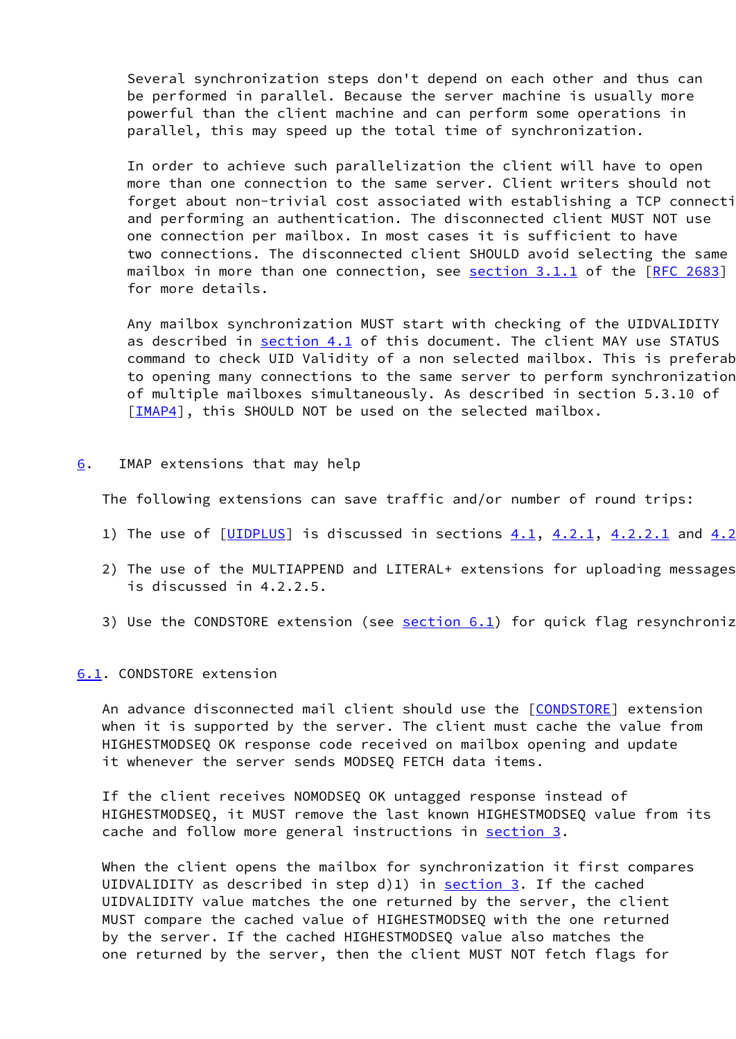Several synchronization steps don't depend on each other and thus can be performed in parallel. Because the server machine is usually more powerful than the client machine and can perform some operations in parallel, this may speed up the total time of synchronization.

 In order to achieve such parallelization the client will have to open more than one connection to the same server. Client writers should not forget about non-trivial cost associated with establishing a TCP connection and performing an authentication. The disconnected client MUST NOT use one connection per mailbox. In most cases it is sufficient to have two connections. The disconnected client SHOULD avoid selecting the same mailbox in more than one connection, see **section 3.1.1** of the [\[RFC 2683](https://datatracker.ietf.org/doc/pdf/rfc2683)] for more details.

 Any mailbox synchronization MUST start with checking of the UIDVALIDITY as described in [section 4.1](#page-5-1) of this document. The client MAY use STATUS command to check UID Validity of a non selected mailbox. This is preferab to opening many connections to the same server to perform synchronization of multiple mailboxes simultaneously. As described in section 5.3.10 of [[IMAP4\]](#page-27-0), this SHOULD NOT be used on the selected mailbox.

<span id="page-25-0"></span>[6](#page-25-0). IMAP extensions that may help

The following extensions can save traffic and/or number of round trips:

- 1) The use of  $[\underline{UIDPLUS}]$  $[\underline{UIDPLUS}]$  $[\underline{UIDPLUS}]$  is discussed in sections  $4.1, 4.2.1, 4.2.2.1$  $4.1, 4.2.1, 4.2.2.1$  $4.1, 4.2.1, 4.2.2.1$  and  $4.2$
- 2) The use of the MULTIAPPEND and LITERAL+ extensions for uploading messages is discussed in 4.2.2.5.
- 3) Use the CONDSTORE extension (see  $section 6.1$ ) for quick flag resynchroniz

### <span id="page-25-1"></span>[6.1](#page-25-1). CONDSTORE extension

An advance disconnected mail client should use the [[CONDSTORE\]](#page-27-3) extension when it is supported by the server. The client must cache the value from HIGHESTMODSEQ OK response code received on mailbox opening and update it whenever the server sends MODSEQ FETCH data items.

 If the client receives NOMODSEQ OK untagged response instead of HIGHESTMODSEQ, it MUST remove the last known HIGHESTMODSEQ value from its cache and follow more general instructions in [section 3.](#page-2-0)

 When the client opens the mailbox for synchronization it first compares UIDVALIDITY as described in step  $d(1)$  in [section 3](#page-2-0). If the cached UIDVALIDITY value matches the one returned by the server, the client MUST compare the cached value of HIGHESTMODSEQ with the one returned by the server. If the cached HIGHESTMODSEQ value also matches the one returned by the server, then the client MUST NOT fetch flags for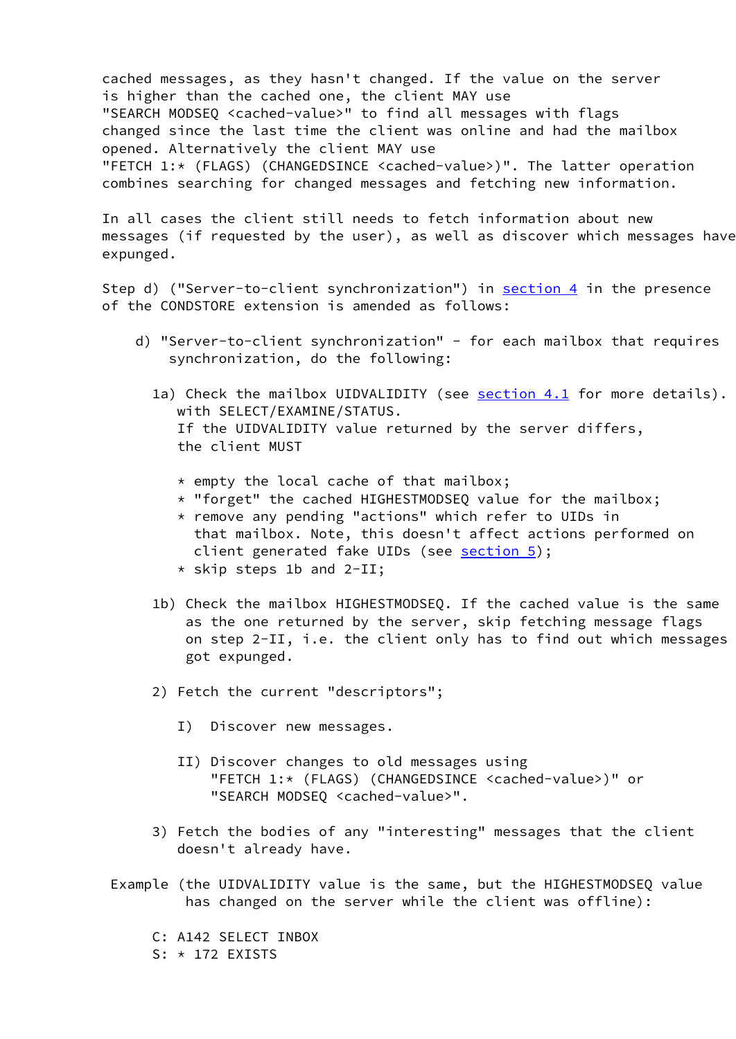cached messages, as they hasn't changed. If the value on the server is higher than the cached one, the client MAY use "SEARCH MODSEQ <cached-value>" to find all messages with flags changed since the last time the client was online and had the mailbox opened. Alternatively the client MAY use "FETCH 1:\* (FLAGS) (CHANGEDSINCE <cached-value>)". The latter operation combines searching for changed messages and fetching new information.

 In all cases the client still needs to fetch information about new messages (if requested by the user), as well as discover which messages have expunged.

Step d) ("Server-to-client synchronization") in **section 4** in the presence of the CONDSTORE extension is amended as follows:

- d) "Server-to-client synchronization" for each mailbox that requires synchronization, do the following:
	- 1a) Check the mailbox UIDVALIDITY (see [section 4.1](#page-5-1) for more details). with SELECT/EXAMINE/STATUS. If the UIDVALIDITY value returned by the server differs, the client MUST
		- \* empty the local cache of that mailbox;
		- \* "forget" the cached HIGHESTMODSEQ value for the mailbox;
		- \* remove any pending "actions" which refer to UIDs in that mailbox. Note, this doesn't affect actions performed on client generated fake UIDs (see [section 5\)](#page-19-0);
		- \* skip steps 1b and 2-II;
	- 1b) Check the mailbox HIGHESTMODSEQ. If the cached value is the same as the one returned by the server, skip fetching message flags on step 2-II, i.e. the client only has to find out which messages got expunged.
	- 2) Fetch the current "descriptors";
		- I) Discover new messages.
		- II) Discover changes to old messages using "FETCH 1:\* (FLAGS) (CHANGEDSINCE <cached-value>)" or "SEARCH MODSEQ <cached-value>".
	- 3) Fetch the bodies of any "interesting" messages that the client doesn't already have.
- Example (the UIDVALIDITY value is the same, but the HIGHESTMODSEQ value has changed on the server while the client was offline):
	- C: A142 SELECT INBOX
	- S: \* 172 EXISTS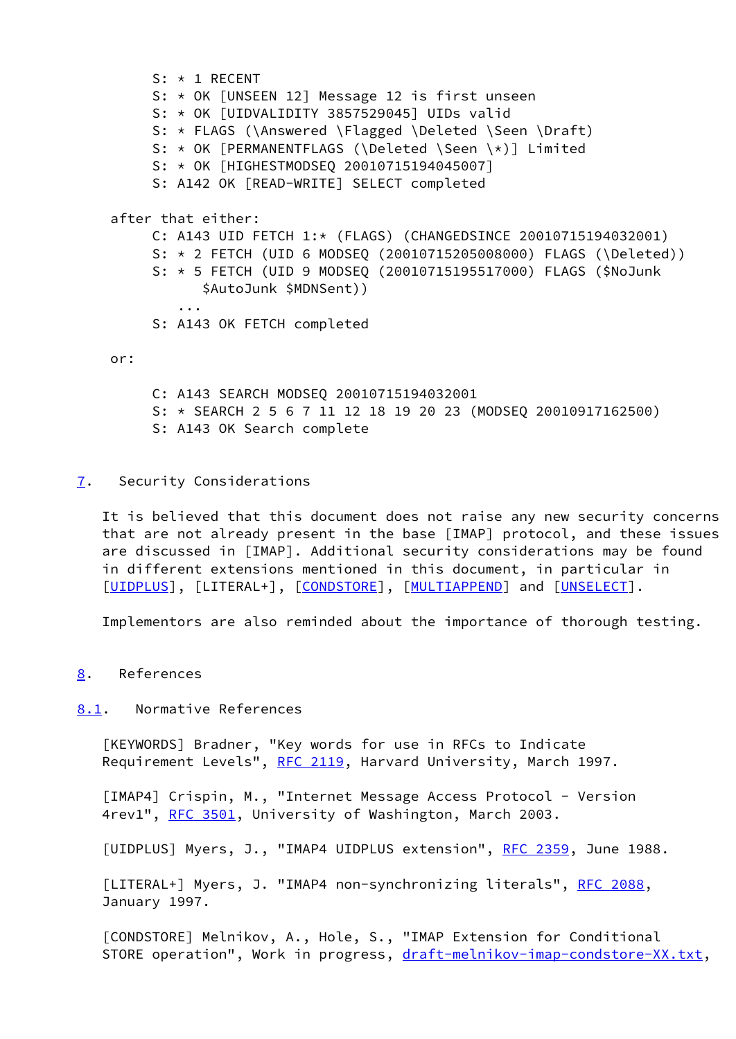S: \* 1 RECENT S: \* OK [UNSEEN 12] Message 12 is first unseen S: \* OK [UIDVALIDITY 3857529045] UIDs valid S: \* FLAGS (\Answered \Flagged \Deleted \Seen \Draft) S: \* OK [PERMANENTFLAGS (\Deleted \Seen \\*)] Limited S: \* OK [HIGHESTMODSEQ 20010715194045007] S: A142 OK [READ-WRITE] SELECT completed after that either: C: A143 UID FETCH 1:\* (FLAGS) (CHANGEDSINCE 20010715194032001) S: \* 2 FETCH (UID 6 MODSEQ (20010715205008000) FLAGS (\Deleted)) S: \* 5 FETCH (UID 9 MODSEQ (20010715195517000) FLAGS (\$NoJunk \$AutoJunk \$MDNSent)) ... S: A143 OK FETCH completed or:

 C: A143 SEARCH MODSEQ 20010715194032001 S: \* SEARCH 2 5 6 7 11 12 18 19 20 23 (MODSEQ 20010917162500) S: A143 OK Search complete

<span id="page-27-4"></span>[7](#page-27-4). Security Considerations

 It is believed that this document does not raise any new security concerns that are not already present in the base [IMAP] protocol, and these issues are discussed in [IMAP]. Additional security considerations may be found in different extensions mentioned in this document, in particular in [\[UIDPLUS](#page-27-1)], [LITERAL+], [\[CONDSTORE](#page-27-3)], [\[MULTIAPPEND](#page-28-1)] and [[UNSELECT\]](#page-28-2).

Implementors are also reminded about the importance of thorough testing.

<span id="page-27-5"></span>[8](#page-27-5). References

<span id="page-27-6"></span>[8.1](#page-27-6). Normative References

<span id="page-27-2"></span> [KEYWORDS] Bradner, "Key words for use in RFCs to Indicate Requirement Levels", [RFC 2119](https://datatracker.ietf.org/doc/pdf/rfc2119), Harvard University, March 1997.

<span id="page-27-0"></span> [IMAP4] Crispin, M., "Internet Message Access Protocol - Version 4rev1", [RFC 3501](https://datatracker.ietf.org/doc/pdf/rfc3501), University of Washington, March 2003.

<span id="page-27-1"></span>[UIDPLUS] Myers, J., "IMAP4 UIDPLUS extension", [RFC 2359](https://datatracker.ietf.org/doc/pdf/rfc2359), June 1988.

[LITERAL+] Myers, J. "IMAP4 non-synchronizing literals", [RFC 2088](https://datatracker.ietf.org/doc/pdf/rfc2088), January 1997.

<span id="page-27-3"></span> [CONDSTORE] Melnikov, A., Hole, S., "IMAP Extension for Conditional STORE operation", Work in progress, [draft-melnikov-imap-condstore-XX.txt,](https://datatracker.ietf.org/doc/pdf/draft-melnikov-imap-condstore-XX.txt)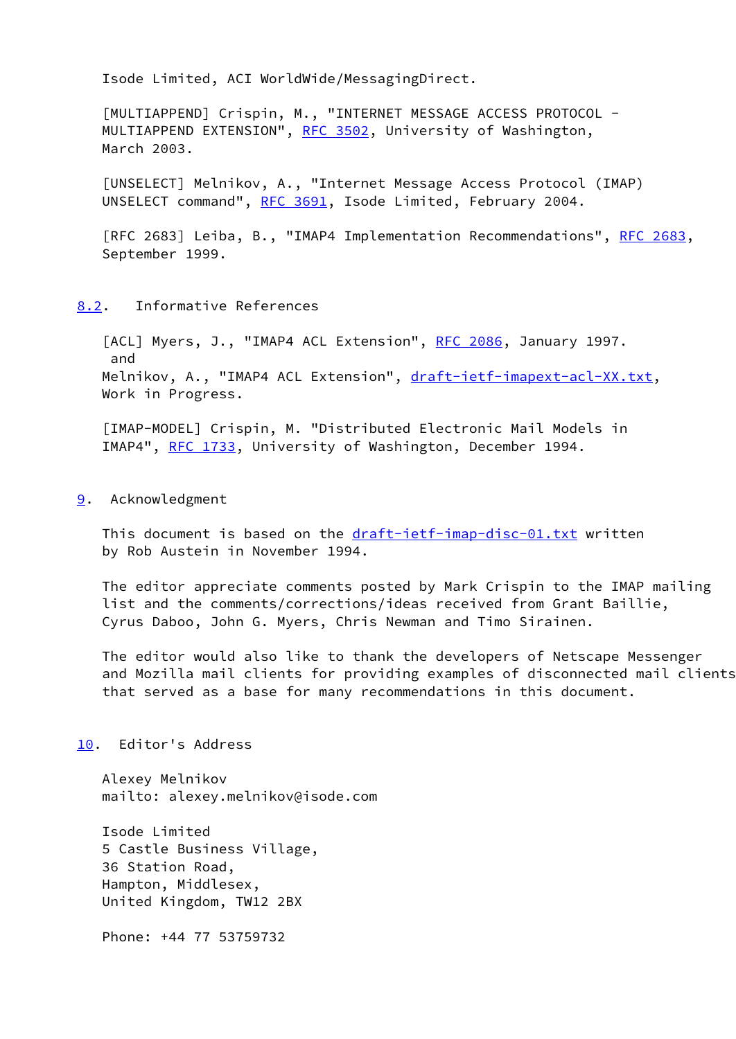Isode Limited, ACI WorldWide/MessagingDirect.

<span id="page-28-1"></span> [MULTIAPPEND] Crispin, M., "INTERNET MESSAGE ACCESS PROTOCOL - MULTIAPPEND EXTENSION", [RFC 3502](https://datatracker.ietf.org/doc/pdf/rfc3502), University of Washington, March 2003.

<span id="page-28-2"></span> [UNSELECT] Melnikov, A., "Internet Message Access Protocol (IMAP) UNSELECT command", [RFC 3691,](https://datatracker.ietf.org/doc/pdf/rfc3691) Isode Limited, February 2004.

[RFC 2683] Leiba, B., "IMAP4 Implementation Recommendations", [RFC 2683](https://datatracker.ietf.org/doc/pdf/rfc2683), September 1999.

## <span id="page-28-4"></span>[8.2](#page-28-4). Informative References

<span id="page-28-3"></span>[ACL] Myers, J., "IMAP4 ACL Extension", [RFC 2086](https://datatracker.ietf.org/doc/pdf/rfc2086), January 1997. and Melnikov, A., "IMAP4 ACL Extension", [draft-ietf-imapext-acl-XX.txt](https://datatracker.ietf.org/doc/pdf/draft-ietf-imapext-acl-XX.txt), Work in Progress.

<span id="page-28-0"></span> [IMAP-MODEL] Crispin, M. "Distributed Electronic Mail Models in IMAP4", [RFC 1733](https://datatracker.ietf.org/doc/pdf/rfc1733), University of Washington, December 1994.

## <span id="page-28-5"></span>[9](#page-28-5). Acknowledgment

This document is based on the [draft-ietf-imap-disc-01.txt](https://datatracker.ietf.org/doc/pdf/draft-ietf-imap-disc-01.txt) written by Rob Austein in November 1994.

 The editor appreciate comments posted by Mark Crispin to the IMAP mailing list and the comments/corrections/ideas received from Grant Baillie, Cyrus Daboo, John G. Myers, Chris Newman and Timo Sirainen.

 The editor would also like to thank the developers of Netscape Messenger and Mozilla mail clients for providing examples of disconnected mail clients that served as a base for many recommendations in this document.

### <span id="page-28-6"></span>[10.](#page-28-6) Editor's Address

 Alexey Melnikov mailto: alexey.melnikov@isode.com

 Isode Limited 5 Castle Business Village, 36 Station Road, Hampton, Middlesex, United Kingdom, TW12 2BX

Phone: +44 77 53759732